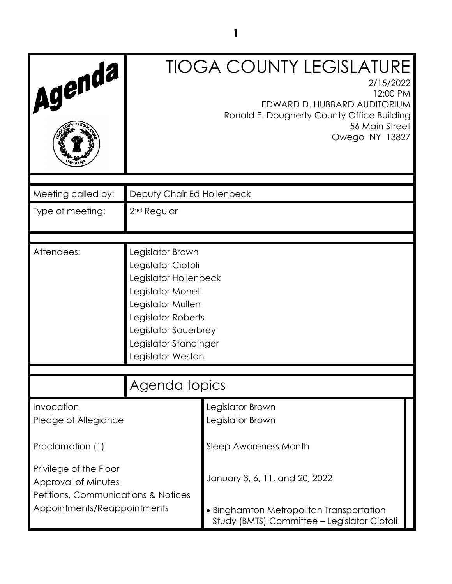| Agenda                                                                                          |                                                                                                                                                                                                       | <b>TIOGA COUNTY LEGISLATURE</b><br>2/15/2022<br>12:00 PM<br>EDWARD D. HUBBARD AUDITORIUM<br>Ronald E. Dougherty County Office Building<br>56 Main Street<br>Owego NY 13827 |  |
|-------------------------------------------------------------------------------------------------|-------------------------------------------------------------------------------------------------------------------------------------------------------------------------------------------------------|----------------------------------------------------------------------------------------------------------------------------------------------------------------------------|--|
| Meeting called by:                                                                              | Deputy Chair Ed Hollenbeck                                                                                                                                                                            |                                                                                                                                                                            |  |
| Type of meeting:                                                                                | 2 <sup>nd</sup> Regular                                                                                                                                                                               |                                                                                                                                                                            |  |
| Attendees:                                                                                      | Legislator Brown<br>Legislator Ciotoli<br>Legislator Hollenbeck<br>Legislator Monell<br>Legislator Mullen<br>Legislator Roberts<br>Legislator Sauerbrey<br>Legislator Standinger<br>Legislator Weston |                                                                                                                                                                            |  |
|                                                                                                 | Agenda topics                                                                                                                                                                                         |                                                                                                                                                                            |  |
| Invocation<br>Pledge of Allegiance                                                              | Legislator Brown<br>Legislator Brown                                                                                                                                                                  |                                                                                                                                                                            |  |
| Proclamation (1)                                                                                |                                                                                                                                                                                                       | Sleep Awareness Month                                                                                                                                                      |  |
| Privilege of the Floor<br>Approval of Minutes<br><b>Petitions, Communications &amp; Notices</b> |                                                                                                                                                                                                       | January 3, 6, 11, and 20, 2022                                                                                                                                             |  |
| Appointments/Reappointments                                                                     |                                                                                                                                                                                                       | • Binghamton Metropolitan Transportation<br>Study (BMTS) Committee - Legislator Ciotoli                                                                                    |  |

**1**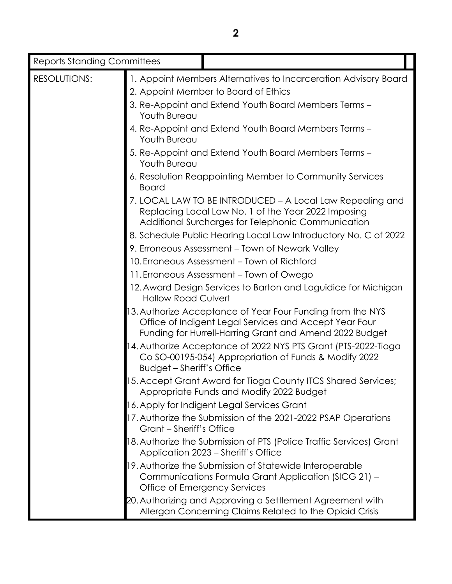| <b>Reports Standing Committees</b> |                                                                      |                                                                                                                                                                                 |  |  |
|------------------------------------|----------------------------------------------------------------------|---------------------------------------------------------------------------------------------------------------------------------------------------------------------------------|--|--|
| <b>RESOLUTIONS:</b>                |                                                                      | 1. Appoint Members Alternatives to Incarceration Advisory Board                                                                                                                 |  |  |
|                                    |                                                                      | 2. Appoint Member to Board of Ethics                                                                                                                                            |  |  |
|                                    | 3. Re-Appoint and Extend Youth Board Members Terms -<br>Youth Bureau |                                                                                                                                                                                 |  |  |
|                                    | Youth Bureau                                                         | 4. Re-Appoint and Extend Youth Board Members Terms -                                                                                                                            |  |  |
|                                    | Youth Bureau                                                         | 5. Re-Appoint and Extend Youth Board Members Terms -                                                                                                                            |  |  |
|                                    | <b>Board</b>                                                         | 6. Resolution Reappointing Member to Community Services                                                                                                                         |  |  |
|                                    |                                                                      | 7. LOCAL LAW TO BE INTRODUCED - A Local Law Repealing and<br>Replacing Local Law No. 1 of the Year 2022 Imposing<br>Additional Surcharges for Telephonic Communication          |  |  |
|                                    |                                                                      | 8. Schedule Public Hearing Local Law Introductory No. C of 2022                                                                                                                 |  |  |
|                                    |                                                                      | 9. Erroneous Assessment - Town of Newark Valley                                                                                                                                 |  |  |
|                                    |                                                                      | 10. Erroneous Assessment - Town of Richford                                                                                                                                     |  |  |
|                                    |                                                                      | 11. Erroneous Assessment – Town of Owego                                                                                                                                        |  |  |
|                                    | <b>Hollow Road Culvert</b>                                           | 12. Award Design Services to Barton and Loguidice for Michigan                                                                                                                  |  |  |
|                                    |                                                                      | 13. Authorize Acceptance of Year Four Funding from the NYS<br>Office of Indigent Legal Services and Accept Year Four<br>Funding for Hurrell-Harring Grant and Amend 2022 Budget |  |  |
|                                    | <b>Budget - Sheriff's Office</b>                                     | 14. Authorize Acceptance of 2022 NYS PTS Grant (PTS-2022-Tioga<br>Co SO-00195-054) Appropriation of Funds & Modify 2022                                                         |  |  |
|                                    |                                                                      | 5. Accept Grant Award for Tioga County ITCS Shared Services;<br>Appropriate Funds and Modify 2022 Budget                                                                        |  |  |
|                                    |                                                                      | 16. Apply for Indigent Legal Services Grant                                                                                                                                     |  |  |
|                                    | Grant – Sheriff's Office                                             | 17. Authorize the Submission of the 2021-2022 PSAP Operations                                                                                                                   |  |  |
|                                    |                                                                      | 18. Authorize the Submission of PTS (Police Traffic Services) Grant<br>Application 2023 - Sheriff's Office                                                                      |  |  |
|                                    |                                                                      | 19. Authorize the Submission of Statewide Interoperable<br>Communications Formula Grant Application (SICG 21) -<br>Office of Emergency Services                                 |  |  |
|                                    |                                                                      | 20. Authorizing and Approving a Settlement Agreement with<br>Allergan Concerning Claims Related to the Opioid Crisis                                                            |  |  |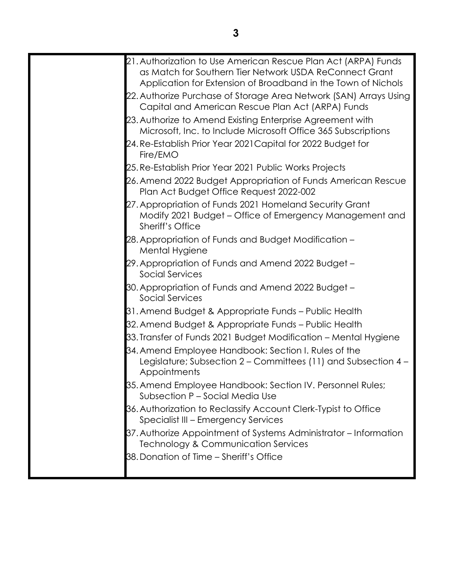| 21. Authorization to Use American Rescue Plan Act (ARPA) Funds                                                                                |
|-----------------------------------------------------------------------------------------------------------------------------------------------|
| as Match for Southern Tier Network USDA ReConnect Grant<br>Application for Extension of Broadband in the Town of Nichols                      |
| 22. Authorize Purchase of Storage Area Network (SAN) Arrays Using                                                                             |
| Capital and American Rescue Plan Act (ARPA) Funds                                                                                             |
| 23. Authorize to Amend Existing Enterprise Agreement with<br>Microsoft, Inc. to Include Microsoft Office 365 Subscriptions                    |
| 24. Re-Establish Prior Year 2021 Capital for 2022 Budget for<br>Fire/EMO                                                                      |
| 25. Re-Establish Prior Year 2021 Public Works Projects                                                                                        |
| 26. Amend 2022 Budget Appropriation of Funds American Rescue<br>Plan Act Budget Office Request 2022-002                                       |
| 27. Appropriation of Funds 2021 Homeland Security Grant<br>Modify 2021 Budget - Office of Emergency Management and<br><b>Sheriff's Office</b> |
| 28. Appropriation of Funds and Budget Modification -<br>Mental Hygiene                                                                        |
| 29. Appropriation of Funds and Amend 2022 Budget -<br>Social Services                                                                         |
| 30. Appropriation of Funds and Amend 2022 Budget -<br><b>Social Services</b>                                                                  |
| 31. Amend Budget & Appropriate Funds – Public Health                                                                                          |
| 32. Amend Budget & Appropriate Funds – Public Health                                                                                          |
| 33. Transfer of Funds 2021 Budget Modification - Mental Hygiene                                                                               |
| 34. Amend Employee Handbook: Section I. Rules of the<br>Legislature; Subsection 2 – Committees (11) and Subsection 4 –<br>Appointments        |
| 35. Amend Employee Handbook: Section IV. Personnel Rules;<br>Subsection P - Social Media Use                                                  |
| 36. Authorization to Reclassify Account Clerk-Typist to Office<br>Specialist III - Emergency Services                                         |
| 37. Authorize Appointment of Systems Administrator – Information<br>Technology & Communication Services                                       |
| 38. Donation of Time - Sheriff's Office                                                                                                       |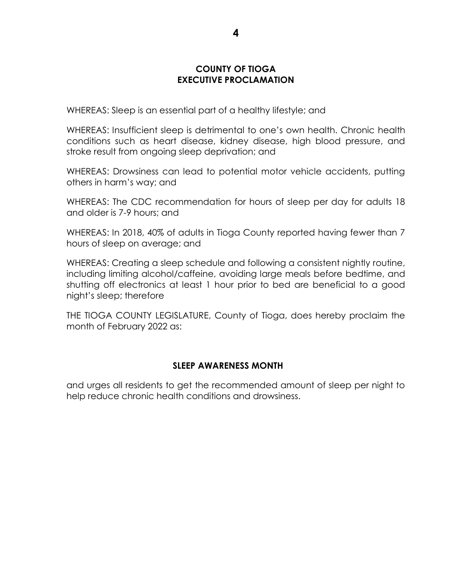### **COUNTY OF TIOGA EXECUTIVE PROCLAMATION**

WHEREAS: Sleep is an essential part of a healthy lifestyle; and

WHEREAS: Insufficient sleep is detrimental to one's own health. Chronic health conditions such as heart disease, kidney disease, high blood pressure, and stroke result from ongoing sleep deprivation; and

WHEREAS: Drowsiness can lead to potential motor vehicle accidents, putting others in harm's way; and

WHEREAS: The CDC recommendation for hours of sleep per day for adults 18 and older is 7-9 hours; and

WHEREAS: In 2018, 40% of adults in Tioga County reported having fewer than 7 hours of sleep on average; and

WHEREAS: Creating a sleep schedule and following a consistent nightly routine, including limiting alcohol/caffeine, avoiding large meals before bedtime, and shutting off electronics at least 1 hour prior to bed are beneficial to a good night's sleep; therefore

THE TIOGA COUNTY LEGISLATURE, County of Tioga, does hereby proclaim the month of February 2022 as:

#### **SLEEP AWARENESS MONTH**

and urges all residents to get the recommended amount of sleep per night to help reduce chronic health conditions and drowsiness.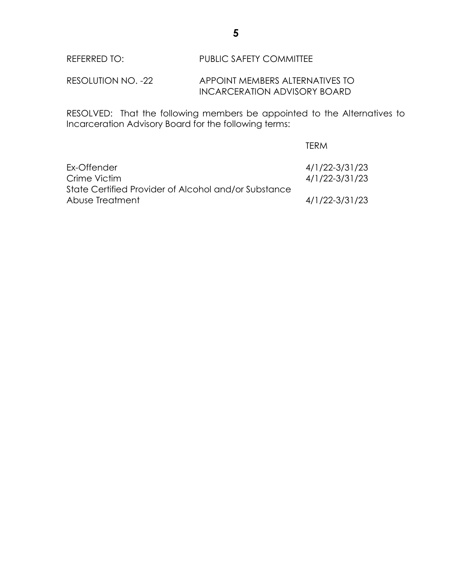RESOLUTION NO. -22 APPOINT MEMBERS ALTERNATIVES TO INCARCERATION ADVISORY BOARD

RESOLVED: That the following members be appointed to the Alternatives to Incarceration Advisory Board for the following terms:

|                                                      | TFRM           |
|------------------------------------------------------|----------------|
| Ex-Offender                                          | 4/1/22-3/31/23 |
| Crime Victim                                         | 4/1/22-3/31/23 |
| State Certified Provider of Alcohol and/or Substance |                |
| Abuse Treatment                                      | 4/1/22-3/31/23 |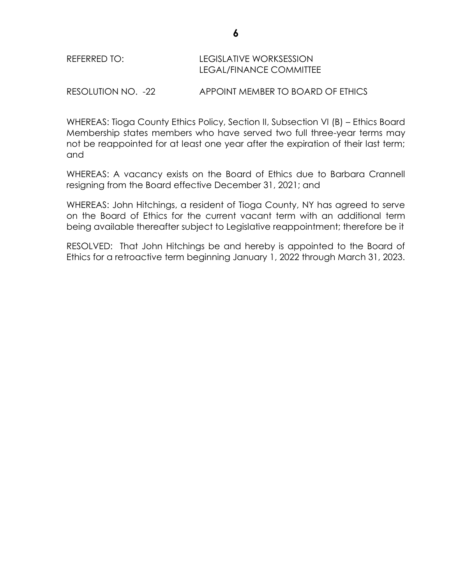| REFERRED TO: | LEGISLATIVE WORKSESSION |  |
|--------------|-------------------------|--|
|              | LEGAL/FINANCE COMMITTEE |  |

RESOLUTION NO. -22 APPOINT MEMBER TO BOARD OF ETHICS

WHEREAS: Tioga County Ethics Policy, Section II, Subsection VI (B) – Ethics Board Membership states members who have served two full three-year terms may not be reappointed for at least one year after the expiration of their last term; and

WHEREAS: A vacancy exists on the Board of Ethics due to Barbara Crannell resigning from the Board effective December 31, 2021; and

WHEREAS: John Hitchings, a resident of Tioga County, NY has agreed to serve on the Board of Ethics for the current vacant term with an additional term being available thereafter subject to Legislative reappointment; therefore be it

RESOLVED: That John Hitchings be and hereby is appointed to the Board of Ethics for a retroactive term beginning January 1, 2022 through March 31, 2023.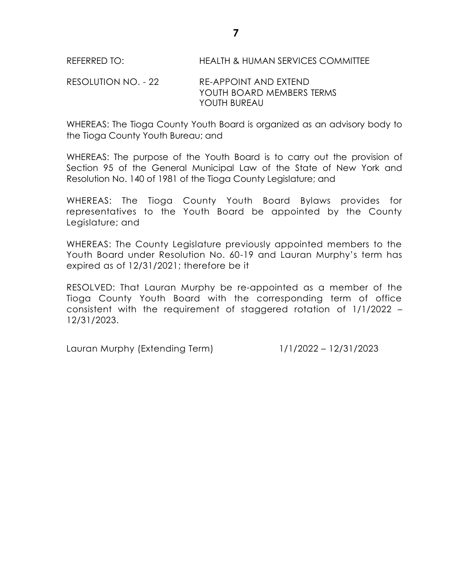RESOLUTION NO. - 22 RE-APPOINT AND EXTEND YOUTH BOARD MEMBERS TERMS YOUTH BUREAU

WHEREAS: The Tioga County Youth Board is organized as an advisory body to the Tioga County Youth Bureau; and

WHEREAS: The purpose of the Youth Board is to carry out the provision of Section 95 of the General Municipal Law of the State of New York and Resolution No. 140 of 1981 of the Tioga County Legislature; and

WHEREAS: The Tioga County Youth Board Bylaws provides for representatives to the Youth Board be appointed by the County Legislature; and

WHEREAS: The County Legislature previously appointed members to the Youth Board under Resolution No. 60-19 and Lauran Murphy's term has expired as of 12/31/2021; therefore be it

RESOLVED: That Lauran Murphy be re-appointed as a member of the Tioga County Youth Board with the corresponding term of office consistent with the requirement of staggered rotation of 1/1/2022 – 12/31/2023.

Lauran Murphy (Extending Term) 1/1/2022 – 12/31/2023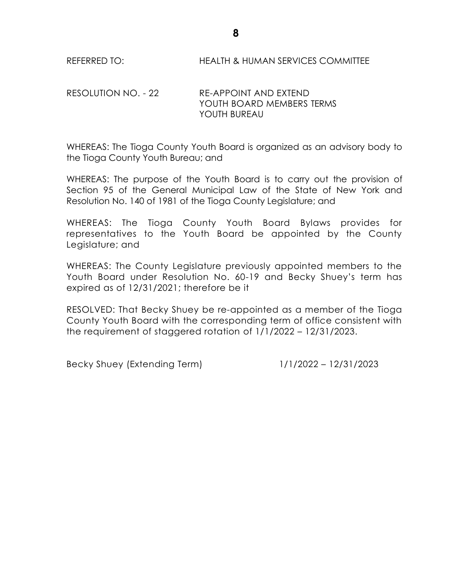# RESOLUTION NO. - 22 RE-APPOINT AND EXTEND YOUTH BOARD MEMBERS TERMS YOUTH BUREAU

WHEREAS: The Tioga County Youth Board is organized as an advisory body to the Tioga County Youth Bureau; and

WHEREAS: The purpose of the Youth Board is to carry out the provision of Section 95 of the General Municipal Law of the State of New York and Resolution No. 140 of 1981 of the Tioga County Legislature; and

WHEREAS: The Tioga County Youth Board Bylaws provides for representatives to the Youth Board be appointed by the County Legislature; and

WHEREAS: The County Legislature previously appointed members to the Youth Board under Resolution No. 60-19 and Becky Shuey's term has expired as of 12/31/2021; therefore be it

RESOLVED: That Becky Shuey be re-appointed as a member of the Tioga County Youth Board with the corresponding term of office consistent with the requirement of staggered rotation of 1/1/2022 – 12/31/2023.

Becky Shuey (Extending Term) 1/1/2022 – 12/31/2023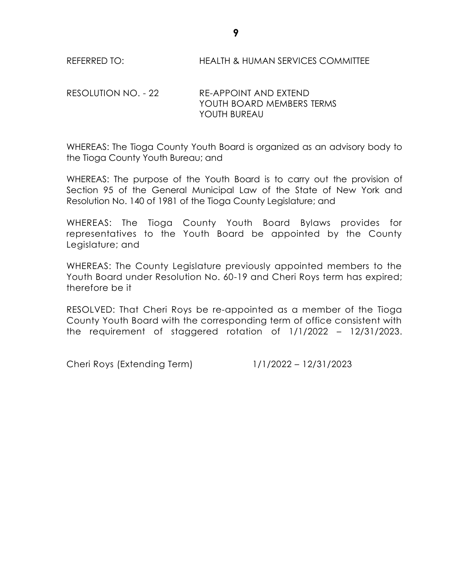### RESOLUTION NO. - 22 RE-APPOINT AND EXTEND YOUTH BOARD MEMBERS TERMS YOUTH BUREAU

WHEREAS: The Tioga County Youth Board is organized as an advisory body to the Tioga County Youth Bureau; and

WHEREAS: The purpose of the Youth Board is to carry out the provision of Section 95 of the General Municipal Law of the State of New York and Resolution No. 140 of 1981 of the Tioga County Legislature; and

WHEREAS: The Tioga County Youth Board Bylaws provides for representatives to the Youth Board be appointed by the County Legislature; and

WHEREAS: The County Legislature previously appointed members to the Youth Board under Resolution No. 60-19 and Cheri Roys term has expired; therefore be it

RESOLVED: That Cheri Roys be re-appointed as a member of the Tioga County Youth Board with the corresponding term of office consistent with the requirement of staggered rotation of 1/1/2022 – 12/31/2023.

Cheri Roys (Extending Term) 1/1/2022 – 12/31/2023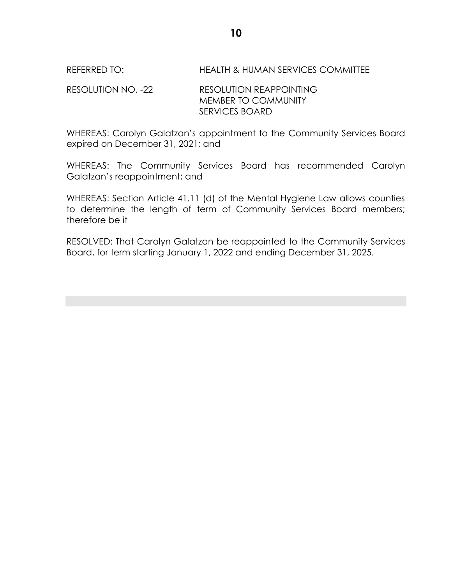RESOLUTION NO. -22 RESOLUTION REAPPOINTING MEMBER TO COMMUNITY SERVICES BOARD

WHEREAS: Carolyn Galatzan's appointment to the Community Services Board expired on December 31, 2021; and

WHEREAS: The Community Services Board has recommended Carolyn Galatzan's reappointment; and

WHEREAS: Section Article 41.11 (d) of the Mental Hygiene Law allows counties to determine the length of term of Community Services Board members; therefore be it

RESOLVED: That Carolyn Galatzan be reappointed to the Community Services Board, for term starting January 1, 2022 and ending December 31, 2025.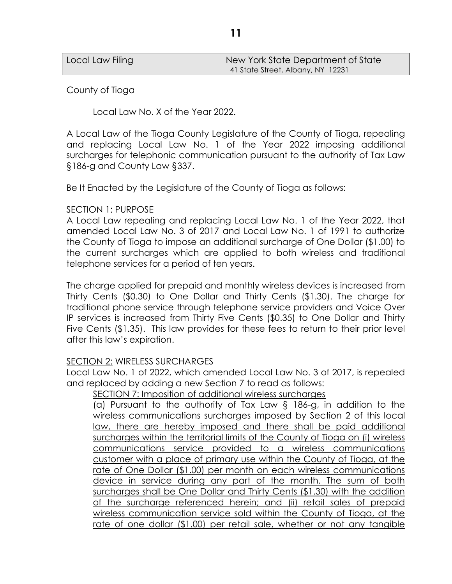| Local Law Filing | New York State Department of State |
|------------------|------------------------------------|
|                  | 41 State Street, Albany, NY 12231  |

County of Tioga

Local Law No. X of the Year 2022.

A Local Law of the Tioga County Legislature of the County of Tioga, repealing and replacing Local Law No. 1 of the Year 2022 imposing additional surcharges for telephonic communication pursuant to the authority of Tax Law §186-g and County Law §337.

Be It Enacted by the Legislature of the County of Tioga as follows:

#### SECTION 1: PURPOSE

A Local Law repealing and replacing Local Law No. 1 of the Year 2022, that amended Local Law No. 3 of 2017 and Local Law No. 1 of 1991 to authorize the County of Tioga to impose an additional surcharge of One Dollar (\$1.00) to the current surcharges which are applied to both wireless and traditional telephone services for a period of ten years.

The charge applied for prepaid and monthly wireless devices is increased from Thirty Cents (\$0.30) to One Dollar and Thirty Cents (\$1.30). The charge for traditional phone service through telephone service providers and Voice Over IP services is increased from Thirty Five Cents (\$0.35) to One Dollar and Thirty Five Cents (\$1.35). This law provides for these fees to return to their prior level after this law's expiration.

#### SECTION 2: WIRELESS SURCHARGES

Local Law No. 1 of 2022, which amended Local Law No. 3 of 2017, is repealed and replaced by adding a new Section 7 to read as follows:

SECTION 7: Imposition of additional wireless surcharges

(a) Pursuant to the authority of Tax Law § 186-g, in addition to the wireless communications surcharges imposed by Section 2 of this local law, there are hereby imposed and there shall be paid additional surcharges within the territorial limits of the County of Tioga on (i) wireless communications service provided to a wireless communications customer with a place of primary use within the County of Tioga, at the rate of One Dollar (\$1.00) per month on each wireless communications device in service during any part of the month. The sum of both surcharges shall be One Dollar and Thirty Cents (\$1.30) with the addition of the surcharge referenced herein; and (ii) retail sales of prepaid wireless communication service sold within the County of Tioga, at the rate of one dollar (\$1.00) per retail sale, whether or not any tangible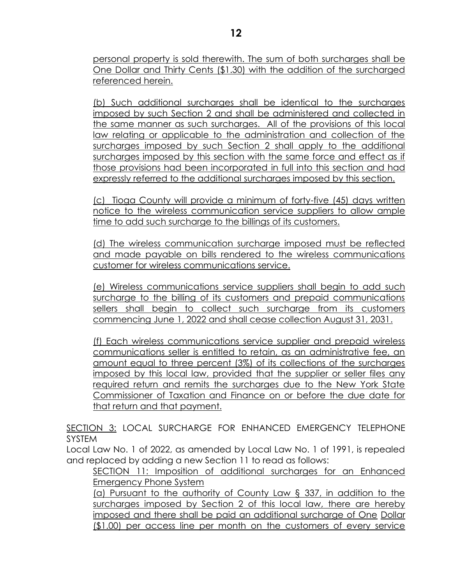personal property is sold therewith. The sum of both surcharges shall be One Dollar and Thirty Cents (\$1.30) with the addition of the surcharged referenced herein.

(b) Such additional surcharges shall be identical to the surcharges imposed by such Section 2 and shall be administered and collected in the same manner as such surcharges. All of the provisions of this local law relating or applicable to the administration and collection of the surcharges imposed by such Section 2 shall apply to the additional surcharges imposed by this section with the same force and effect as if those provisions had been incorporated in full into this section and had expressly referred to the additional surcharges imposed by this section.

(c) Tioga County will provide a minimum of forty-five (45) days written notice to the wireless communication service suppliers to allow ample time to add such surcharge to the billings of its customers.

(d) The wireless communication surcharge imposed must be reflected and made payable on bills rendered to the wireless communications customer for wireless communications service.

(e) Wireless communications service suppliers shall begin to add such surcharge to the billing of its customers and prepaid communications sellers shall begin to collect such surcharge from its customers commencing June 1, 2022 and shall cease collection August 31, 2031.

(f) Each wireless communications service supplier and prepaid wireless communications seller is entitled to retain, as an administrative fee, an amount equal to three percent (3%) of its collections of the surcharges imposed by this local law, provided that the supplier or seller files any required return and remits the surcharges due to the New York State Commissioner of Taxation and Finance on or before the due date for that return and that payment.

SECTION 3: LOCAL SURCHARGE FOR ENHANCED EMERGENCY TELEPHONE SYSTEM

Local Law No. 1 of 2022, as amended by Local Law No. 1 of 1991, is repealed and replaced by adding a new Section 11 to read as follows:

SECTION 11: Imposition of additional surcharges for an Enhanced Emergency Phone System

(a) Pursuant to the authority of County Law § 337, in addition to the surcharges imposed by Section 2 of this local law, there are hereby imposed and there shall be paid an additional surcharge of One Dollar (\$1.00) per access line per month on the customers of every service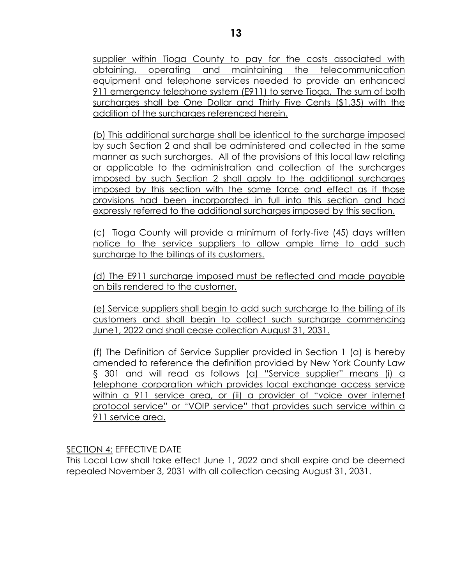supplier within Tioga County to pay for the costs associated with obtaining, operating and maintaining the telecommunication equipment and telephone services needed to provide an enhanced 911 emergency telephone system (E911) to serve Tioga. The sum of both surcharges shall be One Dollar and Thirty Five Cents (\$1.35) with the addition of the surcharges referenced herein.

(b) This additional surcharge shall be identical to the surcharge imposed by such Section 2 and shall be administered and collected in the same manner as such surcharges. All of the provisions of this local law relating or applicable to the administration and collection of the surcharges imposed by such Section 2 shall apply to the additional surcharges imposed by this section with the same force and effect as if those provisions had been incorporated in full into this section and had expressly referred to the additional surcharges imposed by this section.

(c) Tioga County will provide a minimum of forty-five (45) days written notice to the service suppliers to allow ample time to add such surcharge to the billings of its customers.

(d) The E911 surcharge imposed must be reflected and made payable on bills rendered to the customer.

(e) Service suppliers shall begin to add such surcharge to the billing of its customers and shall begin to collect such surcharge commencing June1, 2022 and shall cease collection August 31, 2031.

(f) The Definition of Service Supplier provided in Section 1 (a) is hereby amended to reference the definition provided by New York County Law § 301 and will read as follows (a) "Service supplier" means (i) a telephone corporation which provides local exchange access service within a 911 service area, or (ii) a provider of "voice over internet protocol service" or "VOIP service" that provides such service within a 911 service area.

#### SECTION 4: EFFECTIVE DATE

This Local Law shall take effect June 1, 2022 and shall expire and be deemed repealed November 3, 2031 with all collection ceasing August 31, 2031.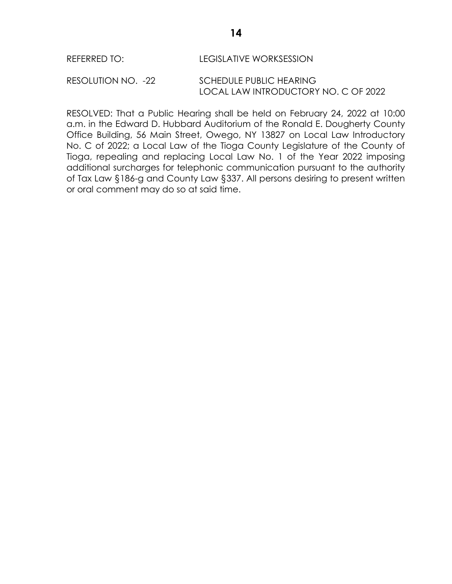# REFERRED TO: LEGISLATIVE WORKSESSION

RESOLUTION NO. -22 SCHEDULE PUBLIC HEARING LOCAL LAW INTRODUCTORY NO. C OF 2022

RESOLVED: That a Public Hearing shall be held on February 24, 2022 at 10:00 a.m. in the Edward D. Hubbard Auditorium of the Ronald E. Dougherty County Office Building, 56 Main Street, Owego, NY 13827 on Local Law Introductory No. C of 2022; a Local Law of the Tioga County Legislature of the County of Tioga, repealing and replacing Local Law No. 1 of the Year 2022 imposing additional surcharges for telephonic communication pursuant to the authority of Tax Law §186-g and County Law §337. All persons desiring to present written or oral comment may do so at said time.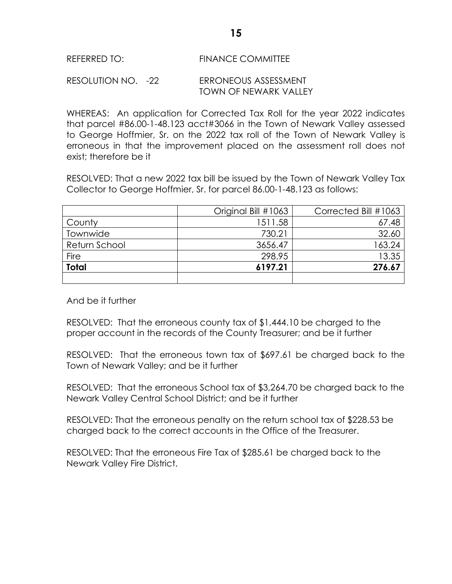#### REFERRED TO: FINANCE COMMITTEE

#### RESOLUTION NO. -22 ERRONEOUS ASSESSMENT TOWN OF NEWARK VALLEY

WHEREAS: An application for Corrected Tax Roll for the year 2022 indicates that parcel #86.00-1-48.123 acct#3066 in the Town of Newark Valley assessed to George Hoffmier, Sr. on the 2022 tax roll of the Town of Newark Valley is erroneous in that the improvement placed on the assessment roll does not exist; therefore be it

RESOLVED: That a new 2022 tax bill be issued by the Town of Newark Valley Tax Collector to George Hoffmier, Sr. for parcel 86.00-1-48.123 as follows:

|               | Original Bill #1063 | Corrected Bill #1063 |
|---------------|---------------------|----------------------|
| County        | 1511.58             | 67.48                |
| Townwide      | 730.21              | 32.60                |
| Return School | 3656.47             | 163.24               |
| Fire          | 298.95              | 13.35                |
| <b>Total</b>  | 6197.21             | 276.67               |
|               |                     |                      |

#### And be it further

RESOLVED: That the erroneous county tax of \$1,444.10 be charged to the proper account in the records of the County Treasurer; and be it further

RESOLVED: That the erroneous town tax of \$697.61 be charged back to the Town of Newark Valley; and be it further

RESOLVED: That the erroneous School tax of \$3,264.70 be charged back to the Newark Valley Central School District; and be it further

RESOLVED: That the erroneous penalty on the return school tax of \$228.53 be charged back to the correct accounts in the Office of the Treasurer.

RESOLVED: That the erroneous Fire Tax of \$285.61 be charged back to the Newark Valley Fire District.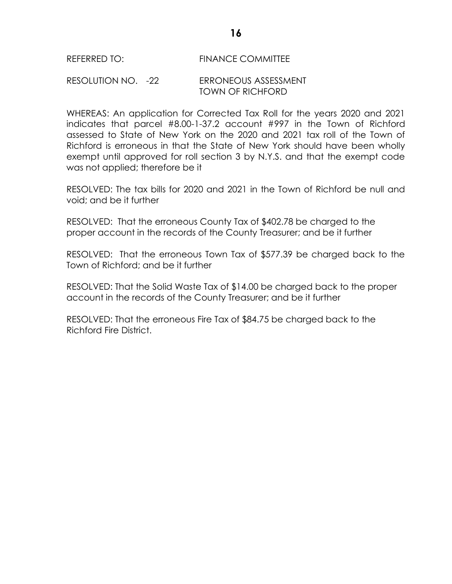#### REFERRED TO: FINANCE COMMITTEE

#### RESOLUTION NO. -22 ERRONEOUS ASSESSMENT TOWN OF RICHFORD

WHEREAS: An application for Corrected Tax Roll for the years 2020 and 2021 indicates that parcel #8.00-1-37.2 account #997 in the Town of Richford assessed to State of New York on the 2020 and 2021 tax roll of the Town of Richford is erroneous in that the State of New York should have been wholly exempt until approved for roll section 3 by N.Y.S. and that the exempt code was not applied; therefore be it

RESOLVED: The tax bills for 2020 and 2021 in the Town of Richford be null and void; and be it further

RESOLVED: That the erroneous County Tax of \$402.78 be charged to the proper account in the records of the County Treasurer; and be it further

RESOLVED: That the erroneous Town Tax of \$577.39 be charged back to the Town of Richford; and be it further

RESOLVED: That the Solid Waste Tax of \$14.00 be charged back to the proper account in the records of the County Treasurer; and be it further

RESOLVED: That the erroneous Fire Tax of \$84.75 be charged back to the Richford Fire District.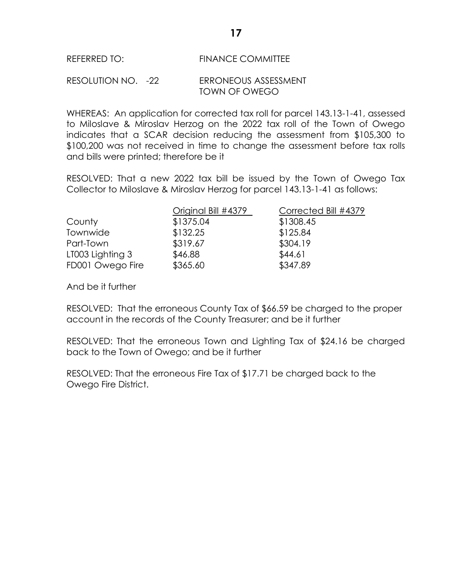#### REFERRED TO: FINANCE COMMITTEE

#### RESOLUTION NO. -22 ERRONEOUS ASSESSMENT TOWN OF OWEGO

WHEREAS: An application for corrected tax roll for parcel 143.13-1-41, assessed to Miloslave & Miroslav Herzog on the 2022 tax roll of the Town of Owego indicates that a SCAR decision reducing the assessment from \$105,300 to \$100,200 was not received in time to change the assessment before tax rolls and bills were printed; therefore be it

RESOLVED: That a new 2022 tax bill be issued by the Town of Owego Tax Collector to Miloslave & Miroslav Herzog for parcel 143.13-1-41 as follows:

|                  | Original Bill #4379 | Corrected Bill #4379 |
|------------------|---------------------|----------------------|
| County           | \$1375.04           | \$1308.45            |
| Townwide         | \$132.25            | \$125.84             |
| Part-Town        | \$319.67            | \$304.19             |
| LT003 Lighting 3 | \$46.88             | \$44.61              |
| FD001 Owego Fire | \$365.60            | \$347.89             |

And be it further

RESOLVED: That the erroneous County Tax of \$66.59 be charged to the proper account in the records of the County Treasurer; and be it further

RESOLVED: That the erroneous Town and Lighting Tax of \$24.16 be charged back to the Town of Owego; and be it further

RESOLVED: That the erroneous Fire Tax of \$17.71 be charged back to the Owego Fire District.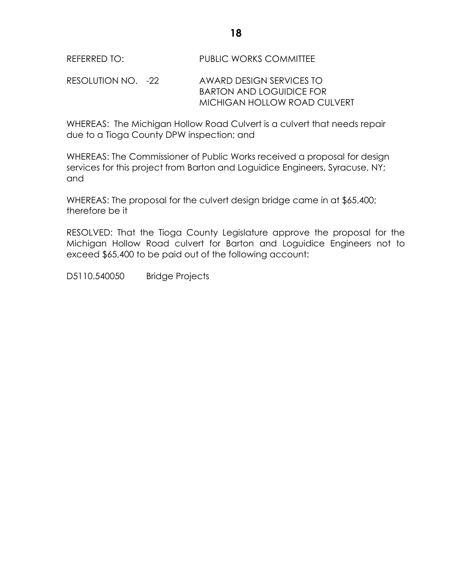### REFERRED TO: PUBLIC WORKS COMMITTEE

RESOLUTION NO. -22 AWARD DESIGN SERVICES TO BARTON AND LOGUIDICE FOR MICHIGAN HOLLOW ROAD CULVERT

WHEREAS: The Michigan Hollow Road Culvert is a culvert that needs repair due to a Tioga County DPW inspection; and

WHEREAS: The Commissioner of Public Works received a proposal for design services for this project from Barton and Loguidice Engineers, Syracuse, NY; and

WHEREAS: The proposal for the culvert design bridge came in at \$65,400; therefore be it

RESOLVED: That the Tioga County Legislature approve the proposal for the Michigan Hollow Road culvert for Barton and Loguidice Engineers not to exceed \$65,400 to be paid out of the following account:

D5110.540050 Bridge Projects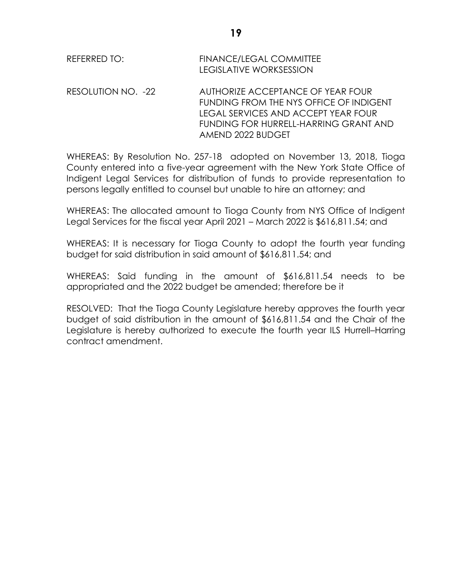RESOLUTION NO. -22 AUTHORIZE ACCEPTANCE OF YEAR FOUR FUNDING FROM THE NYS OFFICE OF INDIGENT LEGAL SERVICES AND ACCEPT YEAR FOUR FUNDING FOR HURRELL-HARRING GRANT AND AMEND 2022 BUDGET

WHEREAS: By Resolution No. 257-18 adopted on November 13, 2018, Tioga County entered into a five-year agreement with the New York State Office of Indigent Legal Services for distribution of funds to provide representation to persons legally entitled to counsel but unable to hire an attorney; and

WHEREAS: The allocated amount to Tioga County from NYS Office of Indigent Legal Services for the fiscal year April 2021 – March 2022 is \$616,811.54; and

WHEREAS: It is necessary for Tioga County to adopt the fourth year funding budget for said distribution in said amount of \$616,811.54; and

WHEREAS: Said funding in the amount of \$616,811.54 needs to be appropriated and the 2022 budget be amended; therefore be it

RESOLVED: That the Tioga County Legislature hereby approves the fourth year budget of said distribution in the amount of \$616,811.54 and the Chair of the Legislature is hereby authorized to execute the fourth year ILS Hurrell–Harring contract amendment.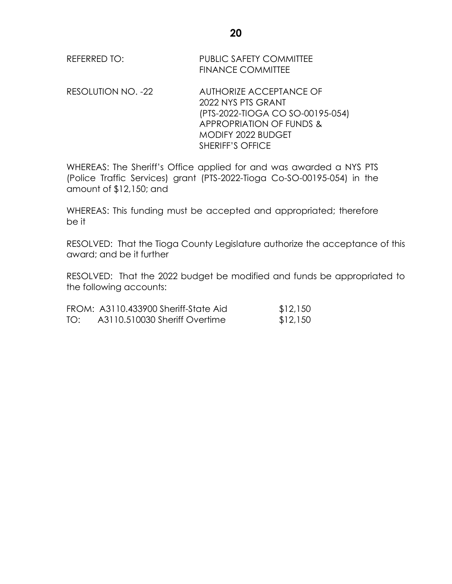| REFERRED TO: | <b>PUBLIC SAFETY COMMITTEE</b> |
|--------------|--------------------------------|
|              | <b>FINANCE COMMITTEE</b>       |

RESOLUTION NO. -22 AUTHORIZE ACCEPTANCE OF 2022 NYS PTS GRANT (PTS-2022-TIOGA CO SO-00195-054) APPROPRIATION OF FUNDS & MODIFY 2022 BUDGET SHERIFF'S OFFICE

WHEREAS: The Sheriff's Office applied for and was awarded a NYS PTS (Police Traffic Services) grant (PTS-2022-Tioga Co-SO-00195-054) in the amount of \$12,150; and

WHEREAS: This funding must be accepted and appropriated; therefore be it

RESOLVED: That the Tioga County Legislature authorize the acceptance of this award; and be it further

RESOLVED: That the 2022 budget be modified and funds be appropriated to the following accounts:

|     | FROM: A3110.433900 Sheriff-State Aid | \$12,150 |
|-----|--------------------------------------|----------|
| TO: | A3110.510030 Sheriff Overtime        | \$12,150 |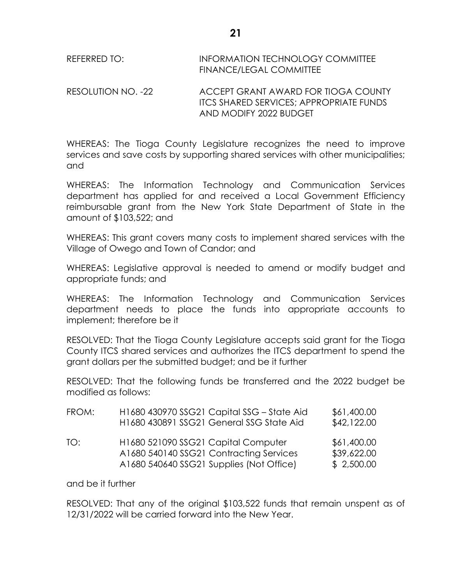| REFERRED TO: | <b>INFORMATION TECHNOLOGY COMMITTEE</b> |
|--------------|-----------------------------------------|
|              | <b>FINANCE/LEGAL COMMITTEE</b>          |

RESOLUTION NO. -22 ACCEPT GRANT AWARD FOR TIOGA COUNTY ITCS SHARED SERVICES; APPROPRIATE FUNDS AND MODIFY 2022 BUDGET

WHEREAS: The Tioga County Legislature recognizes the need to improve services and save costs by supporting shared services with other municipalities; and

WHEREAS: The Information Technology and Communication Services department has applied for and received a Local Government Efficiency reimbursable grant from the New York State Department of State in the amount of \$103,522; and

WHEREAS: This grant covers many costs to implement shared services with the Village of Owego and Town of Candor; and

WHEREAS: Legislative approval is needed to amend or modify budget and appropriate funds; and

WHEREAS: The Information Technology and Communication Services department needs to place the funds into appropriate accounts to implement; therefore be it

RESOLVED: That the Tioga County Legislature accepts said grant for the Tioga County ITCS shared services and authorizes the ITCS department to spend the grant dollars per the submitted budget; and be it further

RESOLVED: That the following funds be transferred and the 2022 budget be modified as follows:

| FROM: | H1680 430970 SSG21 Capital SSG - State Aid<br>H1680 430891 SSG21 General SSG State Aid                                     | \$61,400.00<br>\$42,122.00               |
|-------|----------------------------------------------------------------------------------------------------------------------------|------------------------------------------|
| TO:   | H1680 521090 SSG21 Capital Computer<br>A1680 540140 SSG21 Contracting Services<br>A1680 540640 SSG21 Supplies (Not Office) | \$61,400.00<br>\$39,622.00<br>\$2,500.00 |

and be it further

RESOLVED: That any of the original \$103,522 funds that remain unspent as of 12/31/2022 will be carried forward into the New Year.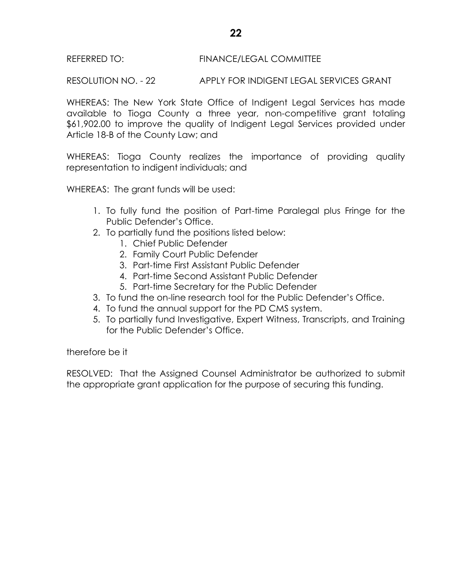#### REFERRED TO: FINANCE/LEGAL COMMITTEE

RESOLUTION NO. - 22 APPLY FOR INDIGENT LEGAL SERVICES GRANT

WHEREAS: The New York State Office of Indigent Legal Services has made available to Tioga County a three year, non-competitive grant totaling \$61,902.00 to improve the quality of Indigent Legal Services provided under Article 18-B of the County Law; and

WHEREAS: Tioga County realizes the importance of providing quality representation to indigent individuals; and

WHEREAS: The grant funds will be used:

- 1. To fully fund the position of Part-time Paralegal plus Fringe for the Public Defender's Office.
- 2. To partially fund the positions listed below:
	- 1. Chief Public Defender
	- 2. Family Court Public Defender
	- 3. Part-time First Assistant Public Defender
	- 4. Part-time Second Assistant Public Defender
	- 5. Part-time Secretary for the Public Defender
- 3. To fund the on-line research tool for the Public Defender's Office.
- 4. To fund the annual support for the PD CMS system.
- 5. To partially fund Investigative, Expert Witness, Transcripts, and Training for the Public Defender's Office.

therefore be it

RESOLVED: That the Assigned Counsel Administrator be authorized to submit the appropriate grant application for the purpose of securing this funding.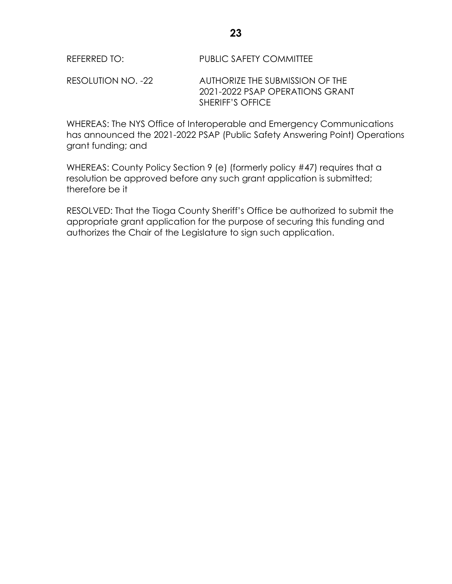RESOLUTION NO. -22 AUTHORIZE THE SUBMISSION OF THE 2021-2022 PSAP OPERATIONS GRANT SHERIFF'S OFFICE

WHEREAS: The NYS Office of Interoperable and Emergency Communications has announced the 2021-2022 PSAP (Public Safety Answering Point) Operations grant funding; and

WHEREAS: County Policy Section 9 (e) (formerly policy #47) requires that a resolution be approved before any such grant application is submitted; therefore be it

RESOLVED: That the Tioga County Sheriff's Office be authorized to submit the appropriate grant application for the purpose of securing this funding and authorizes the Chair of the Legislature to sign such application.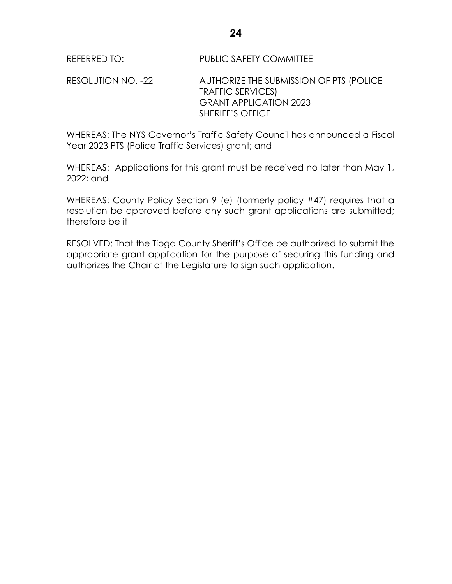RESOLUTION NO. -22 AUTHORIZE THE SUBMISSION OF PTS (POLICE TRAFFIC SERVICES) GRANT APPLICATION 2023 SHERIFF'S OFFICE

WHEREAS: The NYS Governor's Traffic Safety Council has announced a Fiscal Year 2023 PTS (Police Traffic Services) grant; and

WHEREAS: Applications for this grant must be received no later than May 1, 2022; and

WHEREAS: County Policy Section 9 (e) (formerly policy #47) requires that a resolution be approved before any such grant applications are submitted; therefore be it

RESOLVED: That the Tioga County Sheriff's Office be authorized to submit the appropriate grant application for the purpose of securing this funding and authorizes the Chair of the Legislature to sign such application.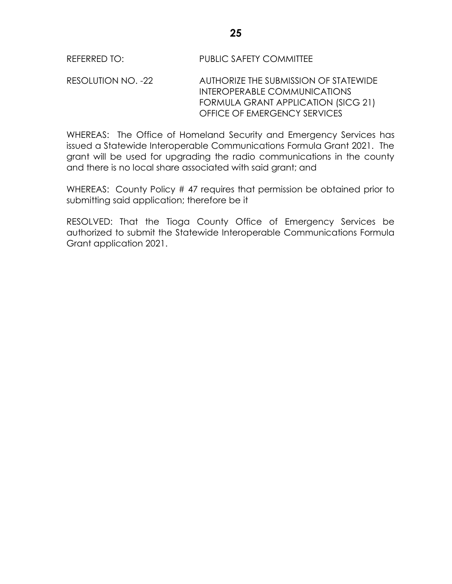RESOLUTION NO. -22 AUTHORIZE THE SUBMISSION OF STATEWIDE INTEROPERABLE COMMUNICATIONS FORMULA GRANT APPLICATION (SICG 21) OFFICE OF EMERGENCY SERVICES

WHEREAS: The Office of Homeland Security and Emergency Services has issued a Statewide Interoperable Communications Formula Grant 2021. The grant will be used for upgrading the radio communications in the county and there is no local share associated with said grant; and

WHEREAS: County Policy # 47 requires that permission be obtained prior to submitting said application; therefore be it

RESOLVED: That the Tioga County Office of Emergency Services be authorized to submit the Statewide Interoperable Communications Formula Grant application 2021.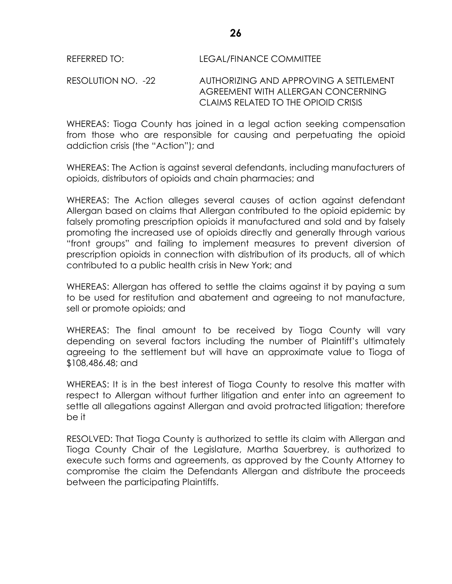RESOLUTION NO. -22 AUTHORIZING AND APPROVING A SETTLEMENT AGREEMENT WITH ALLERGAN CONCERNING CLAIMS RELATED TO THE OPIOID CRISIS

WHEREAS: Tioga County has joined in a legal action seeking compensation from those who are responsible for causing and perpetuating the opioid addiction crisis (the "Action"); and

WHEREAS: The Action is against several defendants, including manufacturers of opioids, distributors of opioids and chain pharmacies; and

WHEREAS: The Action alleges several causes of action against defendant Allergan based on claims that Allergan contributed to the opioid epidemic by falsely promoting prescription opioids it manufactured and sold and by falsely promoting the increased use of opioids directly and generally through various "front groups" and failing to implement measures to prevent diversion of prescription opioids in connection with distribution of its products, all of which contributed to a public health crisis in New York; and

WHEREAS: Allergan has offered to settle the claims against it by paying a sum to be used for restitution and abatement and agreeing to not manufacture, sell or promote opioids; and

WHEREAS: The final amount to be received by Tioga County will vary depending on several factors including the number of Plaintiff's ultimately agreeing to the settlement but will have an approximate value to Tioga of \$108,486.48; and

WHEREAS: It is in the best interest of Tioga County to resolve this matter with respect to Allergan without further litigation and enter into an agreement to settle all allegations against Allergan and avoid protracted litigation; therefore be it

RESOLVED: That Tioga County is authorized to settle its claim with Allergan and Tioga County Chair of the Legislature, Martha Sauerbrey, is authorized to execute such forms and agreements, as approved by the County Attorney to compromise the claim the Defendants Allergan and distribute the proceeds between the participating Plaintiffs.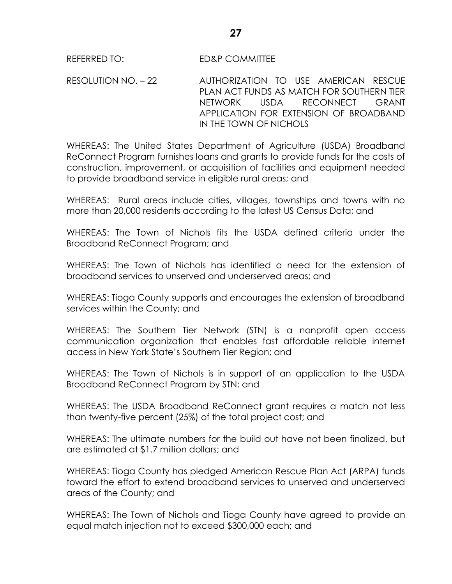RESOLUTION NO. – 22 AUTHORIZATION TO USE AMERICAN RESCUE PLAN ACT FUNDS AS MATCH FOR SOUTHERN TIER NETWORK USDA RECONNECT GRANT APPLICATION FOR EXTENSION OF BROADBAND IN THE TOWN OF NICHOLS

WHEREAS: The United States Department of Agriculture (USDA) Broadband ReConnect Program furnishes loans and grants to provide funds for the costs of construction, improvement, or acquisition of facilities and equipment needed to provide broadband service in eligible rural areas; and

WHEREAS: Rural areas include cities, villages, townships and towns with no more than 20,000 residents according to the latest US Census Data; and

WHEREAS: The Town of Nichols fits the USDA defined criteria under the Broadband ReConnect Program; and

WHEREAS: The Town of Nichols has identified a need for the extension of broadband services to unserved and underserved areas; and

WHEREAS: Tioga County supports and encourages the extension of broadband services within the County; and

WHEREAS: The Southern Tier Network (STN) is a nonprofit open access communication organization that enables fast affordable reliable internet access in New York State's Southern Tier Region; and

WHEREAS: The Town of Nichols is in support of an application to the USDA Broadband ReConnect Program by STN; and

WHEREAS: The USDA Broadband ReConnect grant requires a match not less than twenty-five percent (25%) of the total project cost; and

WHEREAS: The ultimate numbers for the build out have not been finalized, but are estimated at \$1.7 million dollars; and

WHEREAS: Tioga County has pledged American Rescue Plan Act (ARPA) funds toward the effort to extend broadband services to unserved and underserved areas of the County; and

WHEREAS: The Town of Nichols and Tioga County have agreed to provide an equal match injection not to exceed \$300,000 each; and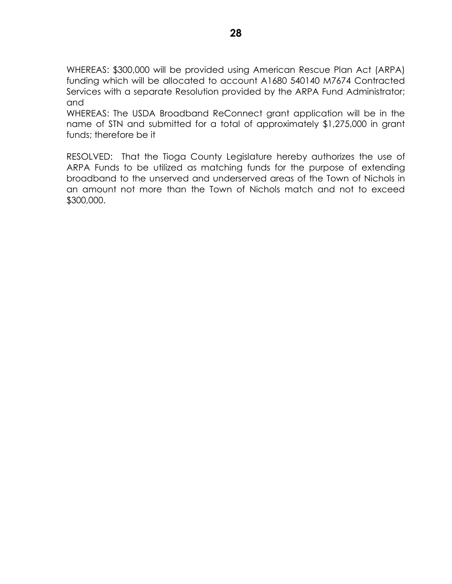WHEREAS: \$300,000 will be provided using American Rescue Plan Act (ARPA) funding which will be allocated to account A1680 540140 M7674 Contracted Services with a separate Resolution provided by the ARPA Fund Administrator; and

WHEREAS: The USDA Broadband ReConnect grant application will be in the name of STN and submitted for a total of approximately \$1,275,000 in grant funds; therefore be it

RESOLVED: That the Tioga County Legislature hereby authorizes the use of ARPA Funds to be utilized as matching funds for the purpose of extending broadband to the unserved and underserved areas of the Town of Nichols in an amount not more than the Town of Nichols match and not to exceed \$300,000.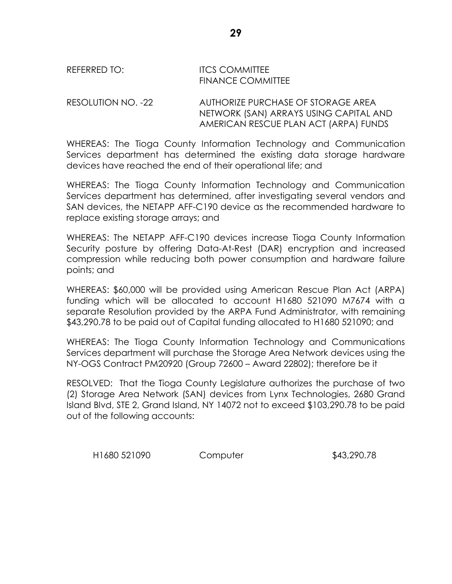# REFERRED TO: ITCS COMMITTEE FINANCE COMMITTEE

RESOLUTION NO. -22 AUTHORIZE PURCHASE OF STORAGE AREA NETWORK (SAN) ARRAYS USING CAPITAL AND AMERICAN RESCUE PLAN ACT (ARPA) FUNDS

WHEREAS: The Tioga County Information Technology and Communication Services department has determined the existing data storage hardware devices have reached the end of their operational life; and

WHEREAS: The Tioga County Information Technology and Communication Services department has determined, after investigating several vendors and SAN devices, the NETAPP AFF-C190 device as the recommended hardware to replace existing storage arrays; and

WHEREAS: The NETAPP AFF-C190 devices increase Tioga County Information Security posture by offering Data-At-Rest (DAR) encryption and increased compression while reducing both power consumption and hardware failure points; and

WHEREAS: \$60,000 will be provided using American Rescue Plan Act (ARPA) funding which will be allocated to account H1680 521090 M7674 with a separate Resolution provided by the ARPA Fund Administrator, with remaining \$43,290.78 to be paid out of Capital funding allocated to H1680 521090; and

WHEREAS: The Tioga County Information Technology and Communications Services department will purchase the Storage Area Network devices using the NY-OGS Contract PM20920 (Group 72600 – Award 22802); therefore be it

RESOLVED: That the Tioga County Legislature authorizes the purchase of two (2) Storage Area Network (SAN) devices from Lynx Technologies, 2680 Grand Island Blvd, STE 2, Grand Island, NY 14072 not to exceed \$103,290.78 to be paid out of the following accounts:

H1680 521090 Computer \$43,290.78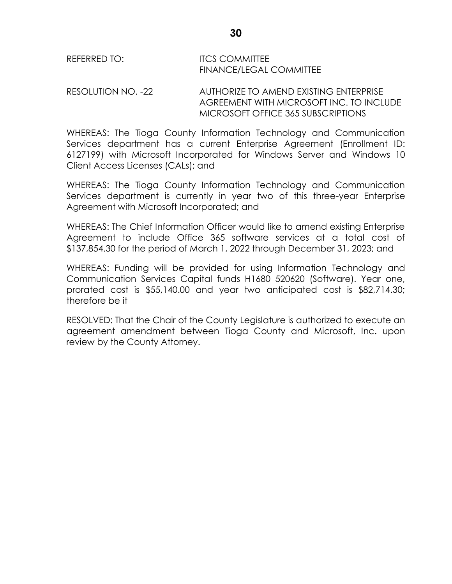| REFERRED TO: | <b>ITCS COMMITTEE</b>          |
|--------------|--------------------------------|
|              | <b>FINANCE/LEGAL COMMITTEE</b> |

RESOLUTION NO. -22 AUTHORIZE TO AMEND EXISTING ENTERPRISE AGREEMENT WITH MICROSOFT INC. TO INCLUDE MICROSOFT OFFICE 365 SUBSCRIPTIONS

WHEREAS: The Tioga County Information Technology and Communication Services department has a current Enterprise Agreement (Enrollment ID: 6127199) with Microsoft Incorporated for Windows Server and Windows 10 Client Access Licenses (CALs); and

WHEREAS: The Tioga County Information Technology and Communication Services department is currently in year two of this three-year Enterprise Agreement with Microsoft Incorporated; and

WHEREAS: The Chief Information Officer would like to amend existing Enterprise Agreement to include Office 365 software services at a total cost of \$137,854.30 for the period of March 1, 2022 through December 31, 2023; and

WHEREAS: Funding will be provided for using Information Technology and Communication Services Capital funds H1680 520620 (Software). Year one, prorated cost is \$55,140.00 and year two anticipated cost is \$82,714.30; therefore be it

RESOLVED: That the Chair of the County Legislature is authorized to execute an agreement amendment between Tioga County and Microsoft, Inc. upon review by the County Attorney.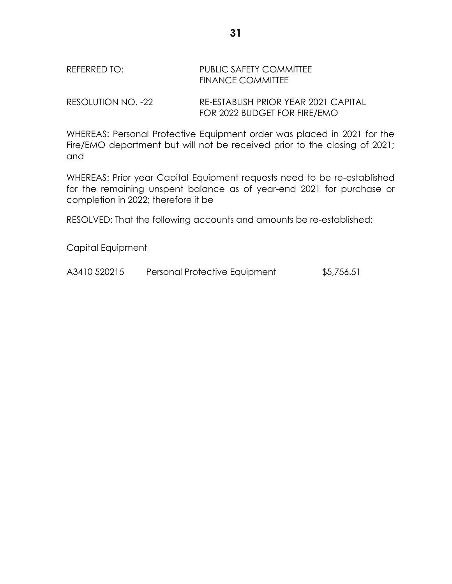# REFERRED TO: PUBLIC SAFETY COMMITTEE FINANCE COMMITTEE

RESOLUTION NO. -22 RE-ESTABLISH PRIOR YEAR 2021 CAPITAL FOR 2022 BUDGET FOR FIRE/EMO

WHEREAS: Personal Protective Equipment order was placed in 2021 for the Fire/EMO department but will not be received prior to the closing of 2021; and

WHEREAS: Prior year Capital Equipment requests need to be re-established for the remaining unspent balance as of year-end 2021 for purchase or completion in 2022; therefore it be

RESOLVED: That the following accounts and amounts be re-established:

Capital Equipment

A3410 520215 Personal Protective Equipment \$5,756.51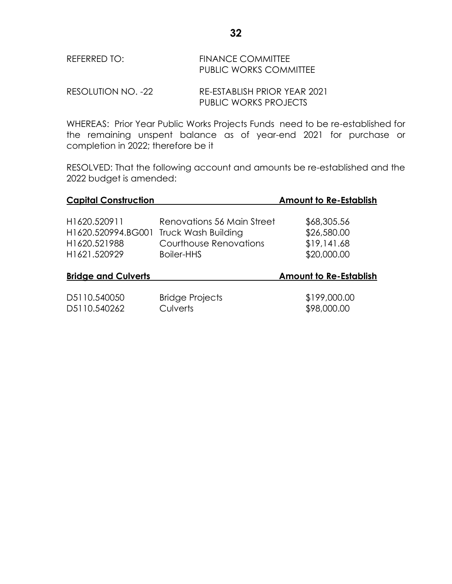| REFERRED TO: | <b>FINANCE COMMITTEE</b>      |
|--------------|-------------------------------|
|              | <b>PUBLIC WORKS COMMITTEE</b> |
|              |                               |

RESOLUTION NO. -22 RE-ESTABLISH PRIOR YEAR 2021 PUBLIC WORKS PROJECTS

WHEREAS: Prior Year Public Works Projects Funds need to be re-established for the remaining unspent balance as of year-end 2021 for purchase or completion in 2022; therefore be it

RESOLVED: That the following account and amounts be re-established and the 2022 budget is amended:

| <b>Capital Construction</b> |                            | <b>Amount to Re-Establish</b> |
|-----------------------------|----------------------------|-------------------------------|
| H1620.520911                | Renovations 56 Main Street | \$68,305.56                   |
| H1620.520994.BG001          | <b>Truck Wash Building</b> | \$26,580.00                   |
| H1620.521988                | Courthouse Renovations     | \$19,141.68                   |
| H1621.520929                | Boiler-HHS                 | \$20,000.00                   |
| <b>Bridge and Culverts</b>  |                            | <b>Amount to Re-Establish</b> |
| D5110.540050                | <b>Bridge Projects</b>     | \$199,000.00                  |
| D5110.540262                | <b>Culverts</b>            | \$98,000.00                   |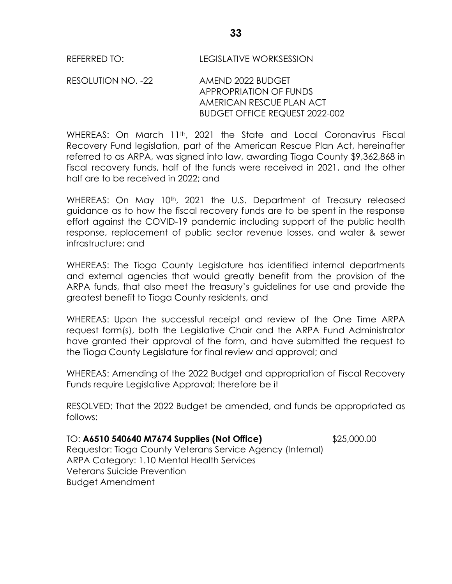RESOLUTION NO. -22 AMEND 2022 BUDGET APPROPRIATION OF FUNDS AMERICAN RESCUE PLAN ACT BUDGET OFFICE REQUEST 2022-002

WHEREAS: On March 11<sup>th</sup>, 2021 the State and Local Coronavirus Fiscal Recovery Fund legislation, part of the American Rescue Plan Act, hereinafter referred to as ARPA, was signed into law, awarding Tioga County \$9,362,868 in fiscal recovery funds, half of the funds were received in 2021, and the other half are to be received in 2022; and

WHEREAS: On May 10<sup>th</sup>, 2021 the U.S. Department of Treasury released guidance as to how the fiscal recovery funds are to be spent in the response effort against the COVID-19 pandemic including support of the public health response, replacement of public sector revenue losses, and water & sewer infrastructure; and

WHEREAS: The Tioga County Legislature has identified internal departments and external agencies that would greatly benefit from the provision of the ARPA funds, that also meet the treasury's guidelines for use and provide the greatest benefit to Tioga County residents, and

WHEREAS: Upon the successful receipt and review of the One Time ARPA request form(s), both the Legislative Chair and the ARPA Fund Administrator have granted their approval of the form, and have submitted the request to the Tioga County Legislature for final review and approval; and

WHEREAS: Amending of the 2022 Budget and appropriation of Fiscal Recovery Funds require Legislative Approval; therefore be it

RESOLVED: That the 2022 Budget be amended, and funds be appropriated as follows:

# TO: **A6510 540640 M7674 Supplies (Not Office)** \$25,000.00

Requestor: Tioga County Veterans Service Agency (Internal) ARPA Category: 1.10 Mental Health Services Veterans Suicide Prevention Budget Amendment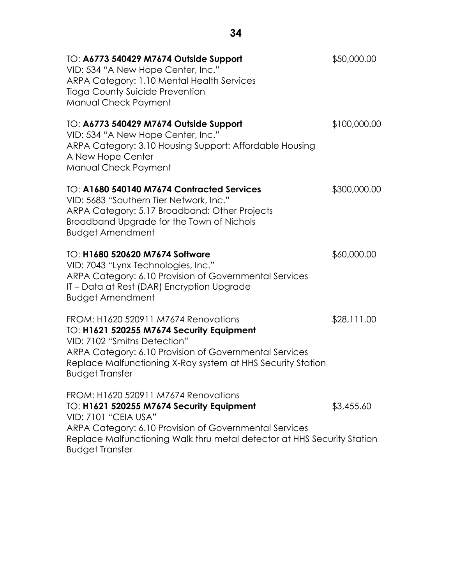| TO: A6773 540429 M7674 Outside Support<br>VID: 534 "A New Hope Center, Inc."<br>ARPA Category: 1.10 Mental Health Services<br>Tioga County Suicide Prevention<br>Manual Check Payment                                                                                           | \$50,000.00  |
|---------------------------------------------------------------------------------------------------------------------------------------------------------------------------------------------------------------------------------------------------------------------------------|--------------|
| TO: A6773 540429 M7674 Outside Support<br>VID: 534 "A New Hope Center, Inc."<br>ARPA Category: 3.10 Housing Support: Affordable Housing<br>A New Hope Center<br>Manual Check Payment                                                                                            | \$100,000.00 |
| TO: A1680 540140 M7674 Contracted Services<br>VID: 5683 "Southern Tier Network, Inc."<br>ARPA Category: 5.17 Broadband: Other Projects<br>Broadband Upgrade for the Town of Nichols<br><b>Budget Amendment</b>                                                                  | \$300,000.00 |
| TO: H1680 520620 M7674 Software<br>VID: 7043 "Lynx Technologies, Inc."<br>ARPA Category: 6.10 Provision of Governmental Services<br>IT – Data at Rest (DAR) Encryption Upgrade<br><b>Budget Amendment</b>                                                                       | \$60,000.00  |
| FROM: H1620 520911 M7674 Renovations<br>TO: H1621 520255 M7674 Security Equipment<br>VID: 7102 "Smiths Detection"<br>ARPA Category: 6.10 Provision of Governmental Services<br>Replace Malfunctioning X-Ray system at HHS Security Station<br><b>Budget Transfer</b>            | \$28,111.00  |
| FROM: H1620 520911 M7674 Renovations<br>TO: H1621 520255 M7674 Security Equipment<br><b>VID: 7101 "CEIA USA"</b><br>ARPA Category: 6.10 Provision of Governmental Services<br>Replace Malfunctioning Walk thru metal detector at HHS Security Station<br><b>Budget Transfer</b> | \$3,455.60   |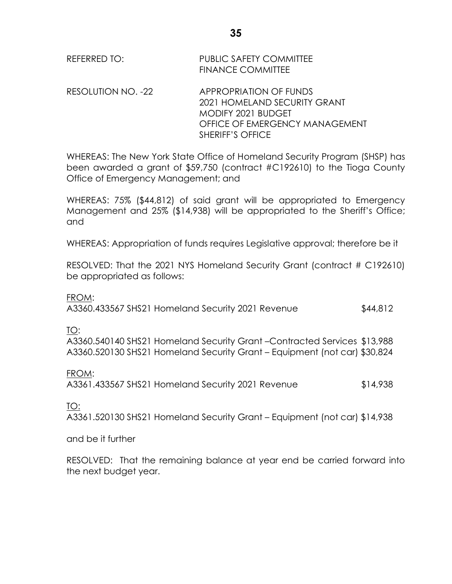| REFERRED TO: | PUBLIC SAFETY COMMITTEE  |
|--------------|--------------------------|
|              | <b>FINANCE COMMITTEE</b> |

RESOLUTION NO. -22 APPROPRIATION OF FUNDS 2021 HOMELAND SECURITY GRANT MODIFY 2021 BUDGET OFFICE OF EMERGENCY MANAGEMENT SHERIFF'S OFFICE

WHEREAS: The New York State Office of Homeland Security Program (SHSP) has been awarded a grant of \$59,750 (contract #C192610) to the Tioga County Office of Emergency Management; and

WHEREAS: 75% (\$44,812) of said grant will be appropriated to Emergency Management and 25% (\$14,938) will be appropriated to the Sheriff's Office; and

WHEREAS: Appropriation of funds requires Legislative approval; therefore be it

RESOLVED: That the 2021 NYS Homeland Security Grant (contract # C192610) be appropriated as follows:

FROM:

A3360.433567 SHS21 Homeland Security 2021 Revenue \$44,812

TO:

A3360.540140 SHS21 Homeland Security Grant –Contracted Services \$13,988 A3360.520130 SHS21 Homeland Security Grant – Equipment (not car) \$30,824

FROM:

A3361.433567 SHS21 Homeland Security 2021 Revenue \$14,938

TO:

A3361.520130 SHS21 Homeland Security Grant – Equipment (not car) \$14,938

and be it further

RESOLVED: That the remaining balance at year end be carried forward into the next budget year.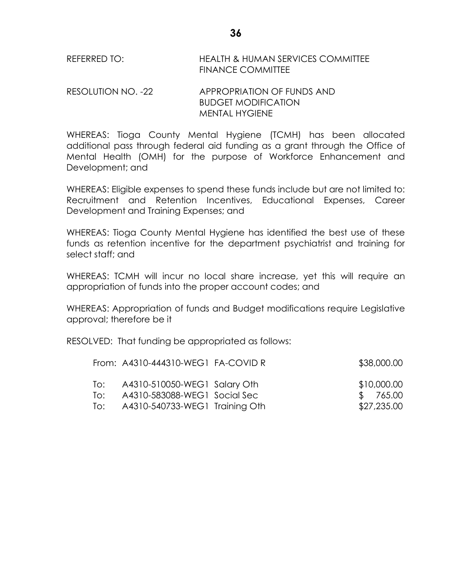| REFERRED TO: | <b>HEALTH &amp; HUMAN SERVICES COMMITTEE</b> |
|--------------|----------------------------------------------|
|              | <b>FINANCE COMMITTEE</b>                     |

RESOLUTION NO. -22 APPROPRIATION OF FUNDS AND BUDGET MODIFICATION MENTAL HYGIENE

WHEREAS: Tioga County Mental Hygiene (TCMH) has been allocated additional pass through federal aid funding as a grant through the Office of Mental Health (OMH) for the purpose of Workforce Enhancement and Development; and

WHEREAS: Eligible expenses to spend these funds include but are not limited to: Recruitment and Retention Incentives, Educational Expenses, Career Development and Training Expenses; and

WHEREAS: Tioga County Mental Hygiene has identified the best use of these funds as retention incentive for the department psychiatrist and training for select staff; and

WHEREAS: TCMH will incur no local share increase, yet this will require an appropriation of funds into the proper account codes; and

WHEREAS: Appropriation of funds and Budget modifications require Legislative approval; therefore be it

RESOLVED: That funding be appropriated as follows:

|     | From: A4310-444310-WEG1 FA-COVID R | \$38,000.00 |
|-----|------------------------------------|-------------|
| To: | A4310-510050-WEG1 Salary Oth       | \$10,000.00 |
| T∩∶ | A4310-583088-WEG1 Social Sec       | \$765.00    |
| To: | A4310-540733-WEG1 Training Oth     | \$27,235.00 |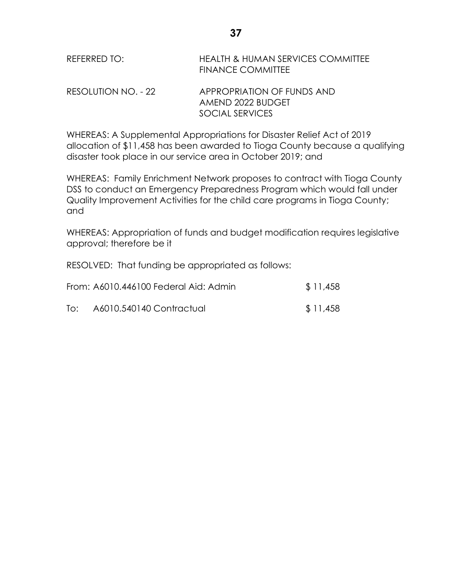| REFERRED TO:        | <b>HEALTH &amp; HUMAN SERVICES COMMITTEE</b><br><b>FINANCE COMMITTEE</b> |
|---------------------|--------------------------------------------------------------------------|
| RESOLUTION NO. - 22 | APPROPRIATION OF FUNDS AND<br>AMEND 2022 BUDGET                          |
|                     | SOCIAL SERVICES                                                          |

WHEREAS: A Supplemental Appropriations for Disaster Relief Act of 2019 allocation of \$11,458 has been awarded to Tioga County because a qualifying disaster took place in our service area in October 2019; and

WHEREAS: Family Enrichment Network proposes to contract with Tioga County DSS to conduct an Emergency Preparedness Program which would fall under Quality Improvement Activities for the child care programs in Tioga County; and

WHEREAS: Appropriation of funds and budget modification requires legislative approval; therefore be it

RESOLVED: That funding be appropriated as follows:

|     | From: A6010.446100 Federal Aid: Admin | \$11,458 |
|-----|---------------------------------------|----------|
| To: | A6010.540140 Contractual              | \$11,458 |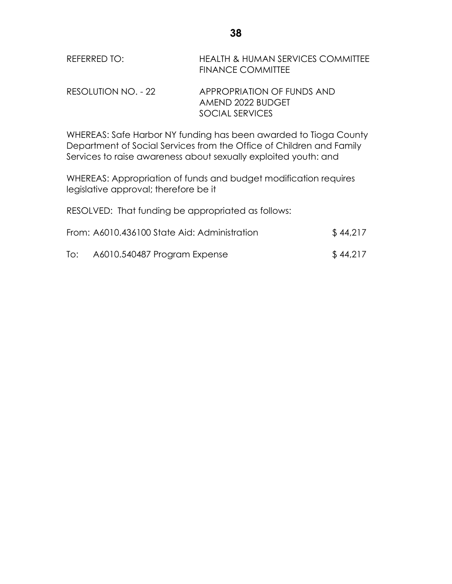| REFERRED TO:        | <b>HEALTH &amp; HUMAN SERVICES COMMITTEE</b><br><b>FINANCE COMMITTEE</b> |
|---------------------|--------------------------------------------------------------------------|
| RESOLUTION NO. - 22 | APPROPRIATION OF FUNDS AND<br>AMEND 2022 BUDGET                          |

WHEREAS: Safe Harbor NY funding has been awarded to Tioga County Department of Social Services from the Office of Children and Family Services to raise awareness about sexually exploited youth: and

WHEREAS: Appropriation of funds and budget modification requires legislative approval; therefore be it

RESOLVED: That funding be appropriated as follows:

|     | From: A6010.436100 State Aid: Administration | \$44,217 |
|-----|----------------------------------------------|----------|
| To: | A6010.540487 Program Expense                 | \$44,217 |

SOCIAL SERVICES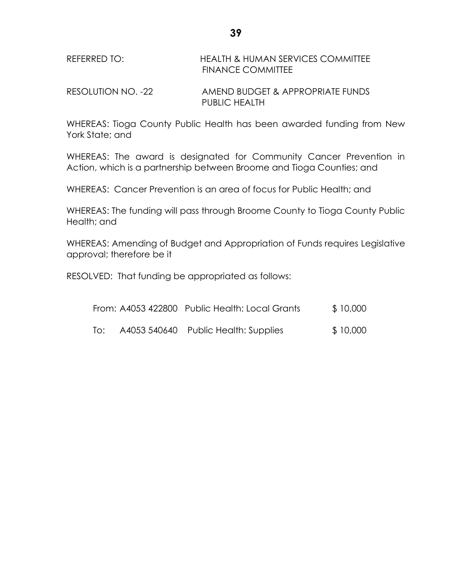| REFERRED TO: | HEALTH & HUMAN SERVICES COMMITTEE |
|--------------|-----------------------------------|
|              | <b>FINANCE COMMITTEE</b>          |

RESOLUTION NO. -22 AMEND BUDGET & APPROPRIATE FUNDS PUBLIC HEALTH

WHEREAS: Tioga County Public Health has been awarded funding from New York State; and

WHEREAS: The award is designated for Community Cancer Prevention in Action, which is a partnership between Broome and Tioga Counties; and

WHEREAS: Cancer Prevention is an area of focus for Public Health; and

WHEREAS: The funding will pass through Broome County to Tioga County Public Health; and

WHEREAS: Amending of Budget and Appropriation of Funds requires Legislative approval; therefore be it

RESOLVED: That funding be appropriated as follows:

|     | From: A4053 422800 Public Health: Local Grants | \$10,000 |
|-----|------------------------------------------------|----------|
| To: | A4053 540640 Public Health: Supplies           | \$10,000 |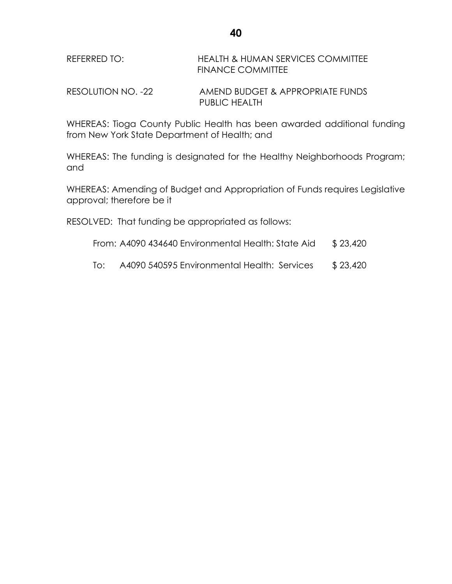| REFERRED TO: | <b>HEALTH &amp; HUMAN SERVICES COMMITTEE</b> |
|--------------|----------------------------------------------|
|              | <b>FINANCE COMMITTEE</b>                     |

RESOLUTION NO. -22 AMEND BUDGET & APPROPRIATE FUNDS PUBLIC HEALTH

WHEREAS: Tioga County Public Health has been awarded additional funding from New York State Department of Health; and

WHEREAS: The funding is designated for the Healthy Neighborhoods Program; and

WHEREAS: Amending of Budget and Appropriation of Funds requires Legislative approval; therefore be it

RESOLVED: That funding be appropriated as follows:

- From: A4090 434640 Environmental Health: State Aid \$ 23,420
- To: A4090 540595 Environmental Health: Services \$ 23,420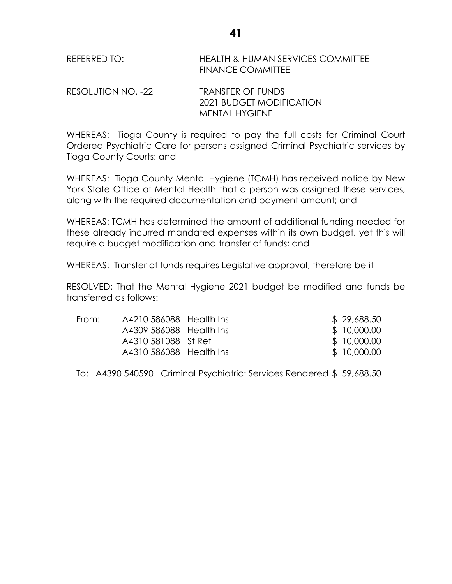| REFERRED TO: | <b>HEALTH &amp; HUMAN SERVICES COMMITTEE</b> |
|--------------|----------------------------------------------|
|              | <b>FINANCE COMMITTEE</b>                     |

RESOLUTION NO. -22 TRANSFER OF FUNDS 2021 BUDGET MODIFICATION MENTAL HYGIENE

WHEREAS: Tioga County is required to pay the full costs for Criminal Court Ordered Psychiatric Care for persons assigned Criminal Psychiatric services by Tioga County Courts; and

WHEREAS: Tioga County Mental Hygiene (TCMH) has received notice by New York State Office of Mental Health that a person was assigned these services, along with the required documentation and payment amount; and

WHEREAS: TCMH has determined the amount of additional funding needed for these already incurred mandated expenses within its own budget, yet this will require a budget modification and transfer of funds; and

WHEREAS: Transfer of funds requires Legislative approval; therefore be it

RESOLVED: That the Mental Hygiene 2021 budget be modified and funds be transferred as follows:

| From: | A4210 586088 Health Ins | \$29,688.50  |
|-------|-------------------------|--------------|
|       | A4309 586088 Health Ins | \$10,000.00  |
|       | A4310 581088 St Ret     | \$10,000.00  |
|       | A4310 586088 Health Ins | \$ 10,000.00 |

To: A4390 540590 Criminal Psychiatric: Services Rendered \$ 59,688.50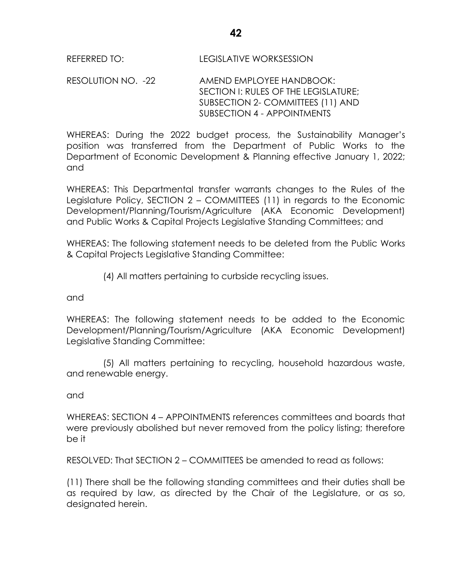RESOLUTION NO. -22 AMEND EMPLOYEE HANDBOOK: SECTION I: RULES OF THE LEGISLATURE; SUBSECTION 2- COMMITTEES (11) AND SUBSECTION 4 - APPOINTMENTS

WHEREAS: During the 2022 budget process, the Sustainability Manager's position was transferred from the Department of Public Works to the Department of Economic Development & Planning effective January 1, 2022; and

WHEREAS: This Departmental transfer warrants changes to the Rules of the Legislature Policy, SECTION 2 – COMMITTEES (11) in regards to the Economic Development/Planning/Tourism/Agriculture (AKA Economic Development) and Public Works & Capital Projects Legislative Standing Committees; and

WHEREAS: The following statement needs to be deleted from the Public Works & Capital Projects Legislative Standing Committee:

(4) All matters pertaining to curbside recycling issues.

and

WHEREAS: The following statement needs to be added to the Economic Development/Planning/Tourism/Agriculture (AKA Economic Development) Legislative Standing Committee:

(5) All matters pertaining to recycling, household hazardous waste, and renewable energy.

# and

WHEREAS: SECTION 4 – APPOINTMENTS references committees and boards that were previously abolished but never removed from the policy listing; therefore be it

RESOLVED: That SECTION 2 – COMMITTEES be amended to read as follows:

(11) There shall be the following standing committees and their duties shall be as required by law, as directed by the Chair of the Legislature, or as so, designated herein.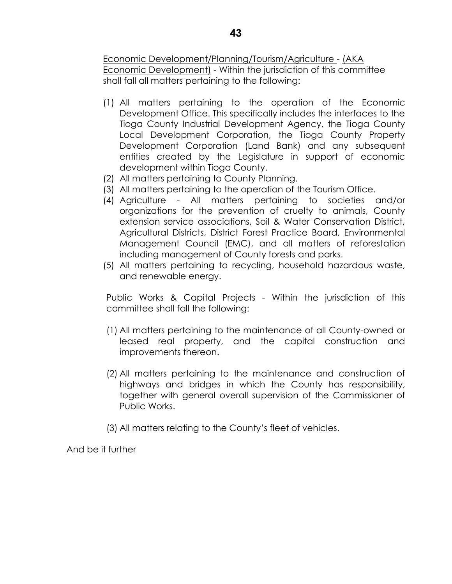Economic Development/Planning/Tourism/Agriculture - (AKA Economic Development) - Within the jurisdiction of this committee shall fall all matters pertaining to the following:

- (1) All matters pertaining to the operation of the Economic Development Office. This specifically includes the interfaces to the Tioga County Industrial Development Agency, the Tioga County Local Development Corporation, the Tioga County Property Development Corporation (Land Bank) and any subsequent entities created by the Legislature in support of economic development within Tioga County.
- (2) All matters pertaining to County Planning.
- (3) All matters pertaining to the operation of the Tourism Office.
- (4) Agriculture All matters pertaining to societies and/or organizations for the prevention of cruelty to animals, County extension service associations, Soil & Water Conservation District, Agricultural Districts, District Forest Practice Board, Environmental Management Council (EMC), and all matters of reforestation including management of County forests and parks.
- (5) All matters pertaining to recycling, household hazardous waste, and renewable energy.

Public Works & Capital Projects - Within the jurisdiction of this committee shall fall the following:

- (1) All matters pertaining to the maintenance of all County-owned or leased real property, and the capital construction and improvements thereon.
- (2) All matters pertaining to the maintenance and construction of highways and bridges in which the County has responsibility, together with general overall supervision of the Commissioner of Public Works.
- (3) All matters relating to the County's fleet of vehicles.

And be it further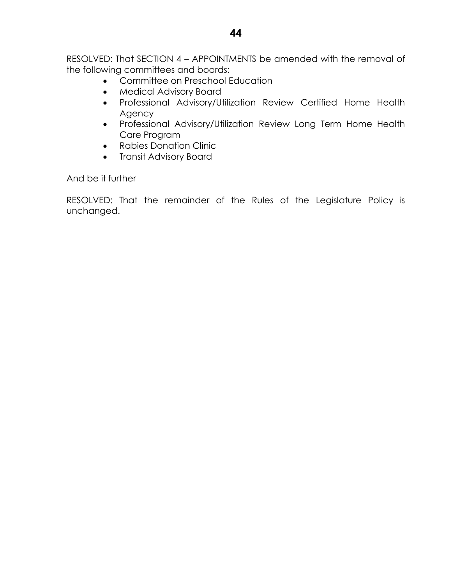RESOLVED: That SECTION 4 – APPOINTMENTS be amended with the removal of the following committees and boards:

- Committee on Preschool Education
- Medical Advisory Board
- Professional Advisory/Utilization Review Certified Home Health Agency
- Professional Advisory/Utilization Review Long Term Home Health Care Program
- Rabies Donation Clinic
- Transit Advisory Board

And be it further

RESOLVED: That the remainder of the Rules of the Legislature Policy is unchanged.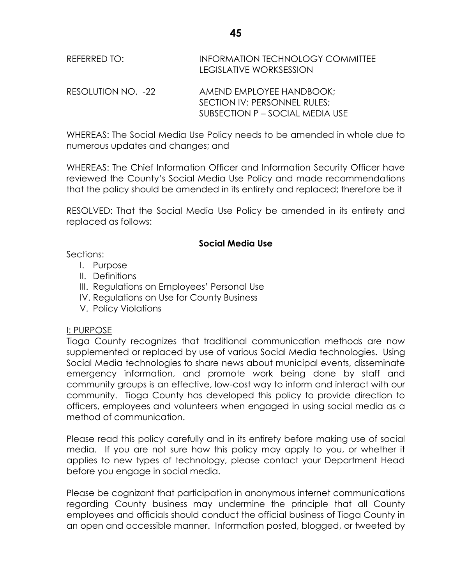| REFERRED TO:       | <b>INFORMATION TECHNOLOGY COMMITTEE</b><br>LEGISLATIVE WORKSESSION |
|--------------------|--------------------------------------------------------------------|
| RESOLUTION NO. -22 | AMEND EMPLOYEE HANDBOOK:<br>SECTION IV: PERSONNEL RULES;           |

WHEREAS: The Social Media Use Policy needs to be amended in whole due to numerous updates and changes; and

SUBSECTION P – SOCIAL MEDIA USE

WHEREAS: The Chief Information Officer and Information Security Officer have reviewed the County's Social Media Use Policy and made recommendations that the policy should be amended in its entirety and replaced; therefore be it

RESOLVED: That the Social Media Use Policy be amended in its entirety and replaced as follows:

### **Social Media Use**

Sections:

- I. Purpose
- II. Definitions
- III. Regulations on Employees' Personal Use
- IV. Regulations on Use for County Business
- V. Policy Violations

# I: PURPOSE

Tioga County recognizes that traditional communication methods are now supplemented or replaced by use of various Social Media technologies. Using Social Media technologies to share news about municipal events, disseminate emergency information, and promote work being done by staff and community groups is an effective, low-cost way to inform and interact with our community. Tioga County has developed this policy to provide direction to officers, employees and volunteers when engaged in using social media as a method of communication.

Please read this policy carefully and in its entirety before making use of social media. If you are not sure how this policy may apply to you, or whether it applies to new types of technology, please contact your Department Head before you engage in social media.

Please be cognizant that participation in anonymous internet communications regarding County business may undermine the principle that all County employees and officials should conduct the official business of Tioga County in an open and accessible manner. Information posted, blogged, or tweeted by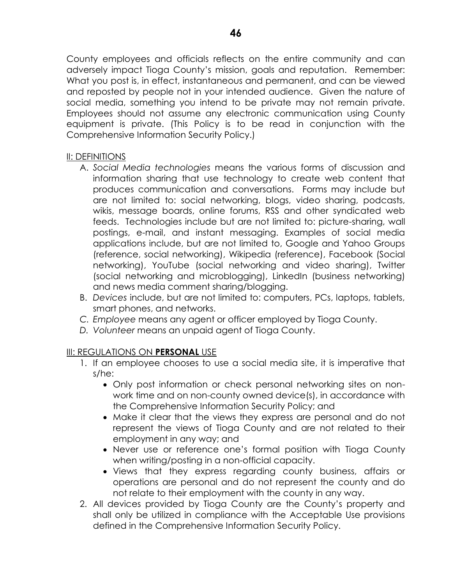County employees and officials reflects on the entire community and can adversely impact Tioga County's mission, goals and reputation. Remember: What you post is, in effect, instantaneous and permanent, and can be viewed and reposted by people not in your intended audience. Given the nature of social media, something you intend to be private may not remain private. Employees should not assume any electronic communication using County equipment is private. (This Policy is to be read in conjunction with the Comprehensive Information Security Policy.)

### II: DEFINITIONS

- A. *Social Media technologies* means the various forms of discussion and information sharing that use technology to create web content that produces communication and conversations. Forms may include but are not limited to: social networking, blogs, video sharing, podcasts, wikis, message boards, online forums, RSS and other syndicated web feeds. Technologies include but are not limited to: picture-sharing, wall postings, e-mail, and instant messaging. Examples of social media applications include, but are not limited to, Google and Yahoo Groups (reference, social networking), Wikipedia (reference), Facebook (Social networking), YouTube (social networking and video sharing), Twitter (social networking and microblogging), LinkedIn (business networking) and news media comment sharing/blogging.
- B. *Devices* include, but are not limited to: computers, PCs, laptops, tablets, smart phones, and networks.
- *C. Employee* means any agent or officer employed by Tioga County.
- *D. Volunteer* means an unpaid agent of Tioga County.

# III: REGULATIONS ON **PERSONAL** USE

- 1. If an employee chooses to use a social media site, it is imperative that s/he:
	- Only post information or check personal networking sites on nonwork time and on non-county owned device(s), in accordance with the Comprehensive Information Security Policy; and
	- Make it clear that the views they express are personal and do not represent the views of Tioga County and are not related to their employment in any way; and
	- Never use or reference one's formal position with Tioga County when writing/posting in a non-official capacity.
	- Views that they express regarding county business, affairs or operations are personal and do not represent the county and do not relate to their employment with the county in any way.
- 2. All devices provided by Tioga County are the County's property and shall only be utilized in compliance with the Acceptable Use provisions defined in the Comprehensive Information Security Policy.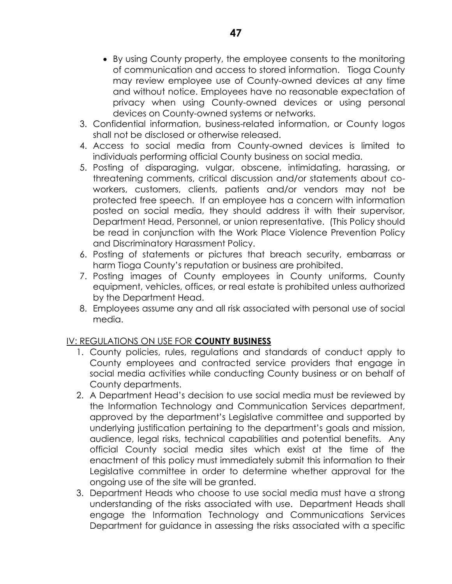- By using County property, the employee consents to the monitoring of communication and access to stored information. Tioga County may review employee use of County-owned devices at any time and without notice. Employees have no reasonable expectation of privacy when using County-owned devices or using personal devices on County-owned systems or networks.
- 3. Confidential information, business-related information, or County logos shall not be disclosed or otherwise released.
- 4. Access to social media from County-owned devices is limited to individuals performing official County business on social media.
- 5. Posting of disparaging, vulgar, obscene, intimidating, harassing, or threatening comments, critical discussion and/or statements about coworkers, customers, clients, patients and/or vendors may not be protected free speech. If an employee has a concern with information posted on social media, they should address it with their supervisor, Department Head, Personnel, or union representative. (This Policy should be read in conjunction with the Work Place Violence Prevention Policy and Discriminatory Harassment Policy.
- 6. Posting of statements or pictures that breach security, embarrass or harm Tioga County's reputation or business are prohibited.
- 7. Posting images of County employees in County uniforms, County equipment, vehicles, offices, or real estate is prohibited unless authorized by the Department Head.
- 8. Employees assume any and all risk associated with personal use of social media.

# IV: REGULATIONS ON USE FOR **COUNTY BUSINESS**

- 1. County policies, rules, regulations and standards of conduct apply to County employees and contracted service providers that engage in social media activities while conducting County business or on behalf of County departments.
- 2. A Department Head's decision to use social media must be reviewed by the Information Technology and Communication Services department, approved by the department's Legislative committee and supported by underlying justification pertaining to the department's goals and mission, audience, legal risks, technical capabilities and potential benefits. Any official County social media sites which exist at the time of the enactment of this policy must immediately submit this information to their Legislative committee in order to determine whether approval for the ongoing use of the site will be granted.
- 3. Department Heads who choose to use social media must have a strong understanding of the risks associated with use. Department Heads shall engage the Information Technology and Communications Services Department for guidance in assessing the risks associated with a specific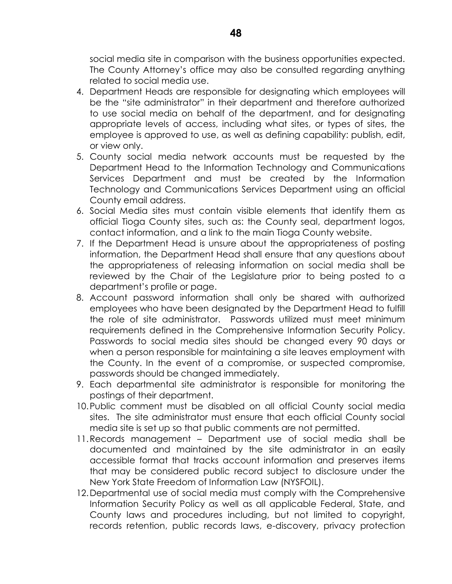social media site in comparison with the business opportunities expected. The County Attorney's office may also be consulted regarding anything related to social media use.

- 4. Department Heads are responsible for designating which employees will be the "site administrator" in their department and therefore authorized to use social media on behalf of the department, and for designating appropriate levels of access, including what sites, or types of sites, the employee is approved to use, as well as defining capability: publish, edit, or view only.
- 5. County social media network accounts must be requested by the Department Head to the Information Technology and Communications Services Department and must be created by the Information Technology and Communications Services Department using an official County email address.
- 6. Social Media sites must contain visible elements that identify them as official Tioga County sites, such as: the County seal, department logos, contact information, and a link to the main Tioga County website.
- 7. If the Department Head is unsure about the appropriateness of posting information, the Department Head shall ensure that any questions about the appropriateness of releasing information on social media shall be reviewed by the Chair of the Legislature prior to being posted to a department's profile or page.
- 8. Account password information shall only be shared with authorized employees who have been designated by the Department Head to fulfill the role of site administrator. Passwords utilized must meet minimum requirements defined in the Comprehensive Information Security Policy. Passwords to social media sites should be changed every 90 days or when a person responsible for maintaining a site leaves employment with the County. In the event of a compromise, or suspected compromise, passwords should be changed immediately.
- 9. Each departmental site administrator is responsible for monitoring the postings of their department.
- 10.Public comment must be disabled on all official County social media sites. The site administrator must ensure that each official County social media site is set up so that public comments are not permitted.
- 11.Records management Department use of social media shall be documented and maintained by the site administrator in an easily accessible format that tracks account information and preserves items that may be considered public record subject to disclosure under the New York State Freedom of Information Law (NYSFOIL).
- 12.Departmental use of social media must comply with the Comprehensive Information Security Policy as well as all applicable Federal, State, and County laws and procedures including, but not limited to copyright, records retention, public records laws, e-discovery, privacy protection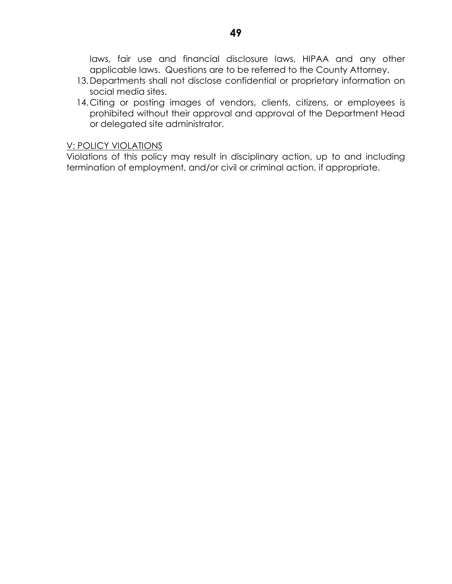laws, fair use and financial disclosure laws, HIPAA and any other applicable laws. Questions are to be referred to the County Attorney.

- 13.Departments shall not disclose confidential or proprietary information on social media sites.
- 14. Citing or posting images of vendors, clients, citizens, or employees is prohibited without their approval and approval of the Department Head or delegated site administrator.

#### V: POLICY VIOLATIONS

Violations of this policy may result in disciplinary action, up to and including termination of employment, and/or civil or criminal action, if appropriate.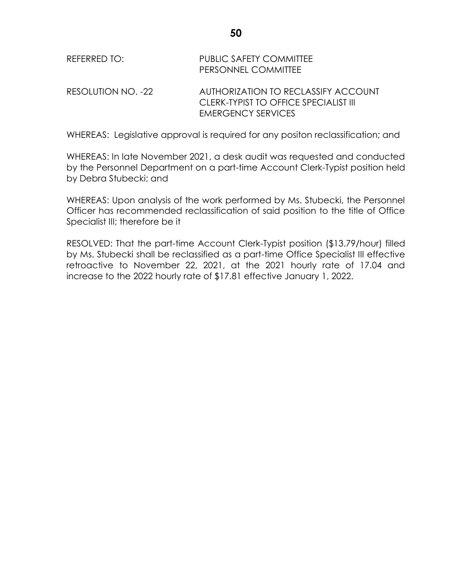| REFERRED TO:       | PUBLIC SAFETY COMMITTEE<br>PERSONNEL COMMITTEE                                                            |
|--------------------|-----------------------------------------------------------------------------------------------------------|
| RESOLUTION NO. -22 | AUTHORIZATION TO RECLASSIFY ACCOUNT<br>CLERK-TYPIST TO OFFICE SPECIALIST III<br><b>EMERGENCY SERVICES</b> |

WHEREAS: Legislative approval is required for any positon reclassification; and

WHEREAS: In late November 2021, a desk audit was requested and conducted by the Personnel Department on a part-time Account Clerk-Typist position held by Debra Stubecki; and

WHEREAS: Upon analysis of the work performed by Ms. Stubecki, the Personnel Officer has recommended reclassification of said position to the title of Office Specialist III; therefore be it

RESOLVED: That the part-time Account Clerk-Typist position (\$13.79/hour) filled by Ms. Stubecki shall be reclassified as a part-time Office Specialist III effective retroactive to November 22, 2021, at the 2021 hourly rate of 17.04 and increase to the 2022 hourly rate of \$17.81 effective January 1, 2022.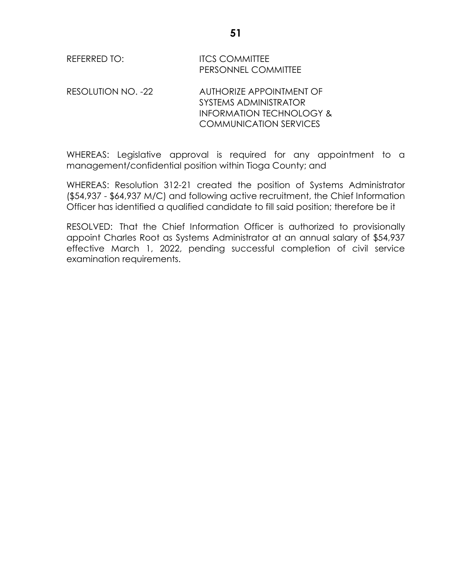| REFERRED TO: | <b>ITCS COMMITTEE</b>      |
|--------------|----------------------------|
|              | <b>PERSONNEL COMMITTEE</b> |

RESOLUTION NO. -22 AUTHORIZE APPOINTMENT OF SYSTEMS ADMINISTRATOR INFORMATION TECHNOLOGY & COMMUNICATION SERVICES

WHEREAS: Legislative approval is required for any appointment to a management/confidential position within Tioga County; and

WHEREAS: Resolution 312-21 created the position of Systems Administrator (\$54,937 - \$64,937 M/C) and following active recruitment, the Chief Information Officer has identified a qualified candidate to fill said position; therefore be it

RESOLVED: That the Chief Information Officer is authorized to provisionally appoint Charles Root as Systems Administrator at an annual salary of \$54,937 effective March 1, 2022, pending successful completion of civil service examination requirements.